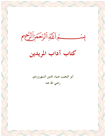كراللة الرحمزاليجم  $\sim$ 

كتاب آداب المريدين

أبو النجيب ضياء الدين السهروردي رضي الله عنه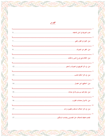Zoc

**ORAR** 

 $\mathbf{\Omega}$ 

**DARAN** 

wz

33

TATAKOGO

ZФ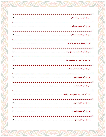O

**ARAR** 

4)

| $\ldots$ .21 |
|--------------|
|              |
|              |
|              |
|              |
|              |
|              |
|              |

<u>TARANG CA</u>

**ASC** 

 $\bullet$ 

896

ZQ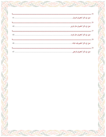4)

**ARAR** 

<u>TARANG CA</u>

**ASC** 

 $\bullet$ 

ZQ

896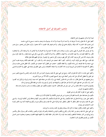#### مذهب الصوفية في أصل الاعتقاد

فسداً أولا بذكر مذهبهم في أصل الاعتقاد.

أجمعوا على أن الله تعالى واحد لا شريك له، ولا ضد له ولا شبيه له ولا ند له، موصوف بما وصف به نفسه، مسمى بما سمى به نفسه. ليس بجسم، فإن الجسم ما كان مؤلفا، والمؤلف يحتاج إلي مؤلف. ولا هو بجوهر فإن الجوهر ما كان متحيزا، والرب تعالى ليس بمتحيز، بــــل هــــو خالق كل متحيز وحيز.

ولا هو بعرض، فإن العرض لا يبقى زمانين، والرب سبحانه واجب البقاء لا اجتماع له ولا افتراق له ولا أبعاض له، ولا يزعجه ذكر، ولا يلحقــه فكر، ولا تحققه العبارات، ولا تعينه الإشارات، ولا تحيط به الأفكار، ولا تدركه الأبصار، وكل شيء وكل شيء عنده بمقدار، ولا يقال كونه بسل يقال وجوده، لأنه ليس كل موجود كائنا وكل كائن فهو موجود وكل ما تصور في الوهم أو حواه في الفهم فالله تعالى بخلافه.

فإن قلت: متى؟ فقد سبق الوقت كونه، وأن قلت: كيف ؟ فقد احتجت عن الوصف ذاته، وأن قلت: أين ؟ فقد تقدم المكان وجوده علسه كسل شيء صنعه ولا عله لصنعه، ليس بذاته تكييف، ولا لفعله تكليف. احتجب عن العقول كما احتجت عن الأبصار، لأن العقل علــي مثلـــه يـــدل والعقل آلة العبودية لا للإشارة إلى الربوبية ليست ذاته كالذوات ولا صفاته كالصفات وليس معنى العلم في وصفه نفى الجهل ولا القـــدرة نفـــي العجز .

وأجمعوا على إثبات ما ذكره الله تعالى في كتابه. وصح عن النبي صلى الله عليه وسلم في أخباره من ذكر الوجه واليد والنفس والسمع والبصر مـــن غير تمثيل ولا تعطيل كما قال جل اسمه ((ليس كمثله شيء وهو السميع البصير)) الآية 11 من سورة الشورى.

وسئل بعضهم عن الله تعالى فقال: إن سألت عن ذاته فليس كمثله شيء وأن سألت عن صفاته فهو أحد صمد لم يلد ولم يولد ولم يكن لــــه كفـــوا أحد. وأن سألت عن اسمه فهو الذي لا إله إلا هو عالم الغيب والشهادة هو الرحمن الرحيم وإن سألت عن فعله فكل يوم هو في شأن.

وقولهم في الاستواء ما قاله مالك بن أنس حين سئل عن ذلك فقال: الاستواء معلوم والكيف غير معقول ولإيمان به واجب والسؤال عنه بدعة. وكذلك مذهبهم في النزول.

وأجمعوا على أن القرآن كلام الله وانه غير مخلوق.

مكتوب في مصاحفنا متلو بألسنتنا محفوظ في صدورنا من غير تعرض للكتابة ولا للتلاوة لأن لم ترد بذلك. وأجمعوا على جواز رؤية الله تعالى في الجنة بالأبصار وإنما نفي الله الإدراك بالأبصار لأن ذلك يوجب كيفية وإحاطة وليس كذلك الرؤيسة. والسنبي صلى الله عليه وسلم شبه النظر بالنظر لا المنظور بالمنظور إليه في قوله صلى الله عليه وسلم ((إنكم سترون ربكم يوم القيامة كما ترون القمر ليلــــة البدر لا تضامون في رؤيته))

وأجمعوا على الإيمان والإقرار بجملة ما ذكره الله سبحانه وتعالى في كتابه وجاءت به الروايات

عن النبي صلى الله عليه وسلم من الجنة والنار واللوح والقلم والحوض والشفاعة والصراط والميزان والصور والعذاب القبر وسؤال منكر ونكسير وإخراج قوم من النار بشفاعة الشافعين والبعث بعد الموت وأن الجنة والنار خلقتا للبقاء وأن أهلهما فيهما مخلدون ومنعمون ومعذبون غسير أهسل الكبائر من المؤمنين فإلهم في النار لا يخلدون.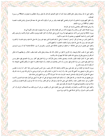الصافات.

تفاضلا.

البالغة<sub>))</sub> آية 149 من سورة الأنعام

أن يكون له عذر يثبت بالشر ع.

ولا يرضى لعباده الكفر والمعاصي والرضا غير الإرادة.

وأجمعوا على أن الله سبحانه وتعالى خالق لأفعال عباده كما أنه خالق لأعمالهم كما قال الله تعالى ((والله خلقكم وما تعملونن)) الاية96 من ســـورة وأن الخلق كلهم يموتون بآجالهم.وأن الشرك والمعاصي كلها بقضاء وقدر من غير أن يكون لأحد على الله حجه قال تعسالي ((قسل فللسه الحجسة ويرون الصلاة خلف كل بر وفاجر ولا يشهدون لأحد من أهل القبلة بالجنة لخير أتى به ولا يشهدون عليه بالنار لكبيرة أتى بما. ويرون الخلافة في قريش ليس لأحد منازعتهم فيها ولا يرون الخروج على الولاة وأن كانوا ظلمة ويؤمنون بالكتب المنزلة والأنبياء والمرسلين وأنهم أفضل البشر وأن محمداً أفضلهم من بعدهم وأن الله ختم به الأنبياء. وأن أفضل البشر من بعده أبو بكر، ثم عمر، ثم عثمان، ثم علي، ثم تمام العشرة الذين شهد لهم رسول الله صلى الله عليه وسلم بالجنسة، ثم القسرن الذي بعث فيه رسول الله صلى الله عليه وسلم ثم العلماء العاملون، ثم أنفعهم للناس. وأجمعوا على تفضيل الرسل على الملائكة — واختلفوا في تفضيل الملائكة على المؤمنين، والمفروض أن بين ا لملائكة تفاضلا كما أن بسين المسؤمنين وأجمعوا على أن طلب الحلال فريضة، وأن الأرض لا تخلوا من الحلال، لآن الله سبحانه وتعالي طالب العباد بطلب الحلال، ولم يطالبهم إلا بما يمكن أنه يكثر في موضع ويقل في موضع، فان ظاهره جميلا فلا يتهم في ماله ومكسبه. وأجمعوا على أن كمال الإيمان الإقرار باللسان، وتصديق بالجنان، وعمل بالأركان، من ترك العمل فهو كافر، ومن ترك التصديق فهو منافق ومسن ترك العمل فهو فاسق، ومن ترك الإتباع فهو مبتدع. وأن الناس يتفاضلون في الإيمان، وأن المعرفة بالقلب لا تنفع ما لم يتكلم بكلمتي الشهادة، إلا

ويرون الاستثناء في الإيمان من غير شك على سبيل التأكيد والمتابعة، لآن الآمر مغيب، سئل الحسن البصري أمؤمن حقا ؟ قال: أن أردت ما يحقـــن به دمي وتحل به ذبيحتي ومنا كحتي فأنا مؤمن حقا، وأن أردت ما أدخل به الجنان وأنجو به من النيران ويرضى به الرحمن فأنا مؤمن إن شاء الله وقد استثنى الله تعالى في كتابه في قوله (لتدخلن المسجد الحرام إن شاء الله آمنين)آية 27 من سورة الفتح وليس هناك شك.

سئل بعضهم عن هذا الاستثناء من الله تعالى فقال: أراد بذلك تأديبا لعباده وتنبيها لهم على أن الحق إذا أستثني مع كمال علمه فـــلا يجـــوز لأحــــد الحكم من غير استثناء لقصور علمه، وكذلك النبي صلى الله عليه وسلم قال: في أهل المقابر ((وأنا إن شاء الله عن قريب بكم لاحقون)) ولم يكــــن شاكا في الموت واللحوق بمم فصح أن الاستثناء قد يكون بغير شك.

وأجمعوا على إباحة الكسب والتجارات والصناعات على سبيل التعاون على البر والتقوى، من غير أن يري ذلك سببا لاستجلاب الرزق وأن آخر الكسب للمرء السؤال، ولا تحل المسألة لغني ولا لذي مروة سوي.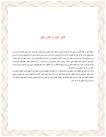فصل: القول في الفقر والغني

وأجمعوا على أن الفقر أفضل من الغني إذا كان مقرونا بالرضي، ولذلك أختاره النبي صلى الله عليه وسلم وأشار عليه جبريل بذلك حين عرضـــت عليه مفاتيح خزائن الأرض على ألا ينقص له مما عند الله جناح بعوضه، وأشار إليه جبريل صلى الله عليه وسلم: أن تواضع فقال ((أريد أن أجــــو ع يوما وأشبع يوما فإذا جعت تضرعت إليك، وإذا شبعت حمدتك وشكرتك))سنن الترمذي وبذلك يحتج من يرد ما يعرض عليه من الدنيا. وقسول النبي صلى الله عليه وسلم ((اللهم أحيني مسكينا، وأمتني مسكينا، واحشرني في زمرة المساكين، " وأمره الله تعالى بالصبر معهم فقال تعالى (واصبر نفسك مع الذين يدعون رهم بالغداة والعشي يردون وجهه)آية 28 من سورة الكهف، فإن احتج محتج بقول النبي صلى الله عليه وســــلم ((اليــــد العليا خير من اليد السفلي)) مسند الإمام احمد

وقال ((اليد العليا هي المعطية واليد السفلي هي السائلة)) قيل له: اليد العليا تنال الفضيلة بإخراج ما فيها واليد السفلي تنافــــا المنقصـــة بحصــــول الشيء فيها وفي تفضيل السخاء والعطاء دليل على فضل الفقر بأنه لو كان ملك الشيء محمودا لكان تركه بالعطاء مذموما، فمن يفضــــل الغــــني للإنفاق والعطاء على الفقر كان كمن فضل المعصية على الطاعة، لفضل التوبة وإنما فضل التوبة لترك المعاصي المذمومة، كذلك فضل الإنفاق إنمسا هو لإخراج المال الملهي عن الله عز وجل.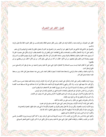#### فصل: الفقر غير التصوف

الفقير غير التصوف، بل فمايته بدايته، وكذلك الزهد غير الفقر، وليس الفقر عندهم الفاقة والعدم فحسب بل الفقر الحمود الثقة بالله تعالى والرضا بما قسم.

والصوفي غير الملامتي فإن الملامتي هو الذي لا يظهر خيرا ولا يضمر شرا والصوفي هو الذي لا يشتغل بالخلق ولا يلتفت إلي قبولهم ولا إلى ردهم. وأجمعوا على أن ترك الاشتغال بالمكاسب والصناعات والتفرغ للطاعات أجل وأفضل لمن ترك الاهتمام بطلب الرزق واتكل على مضمون الحق إلا أن يستوي عنده الخلوة والجلوة والمخالطة والعزلة ويصير مشاهدا للقدرة في كل حالة وقال بعضهم لا تكونوا بالرزق مهتمين فتكونسوا للسرازق متهمين وبضمانة غير واثقين وقيل لبعضهم: من أين تأكل ؟ فقال: لو كان من أين لفني. وقيل لآخر: من أين تأكل ؟ فقال سل من يطعمني من أين يطعمني؟

وأجمعوا على أن أفعال العباد ليست بسبب للسعادة ولا للشقاوة، لقول النبي صلى الله عليه وسلم ((السعيد من سعد في بطن أمه والشــــقي مــــن شقى في بطن أمه<sub>))</sub>.

وأن الثواب فضله، والعقاب عدله والرضى والسخط نعتان قديمان لا يتغيران بأفعال العباد، فمن رضي عنه استعمله بعمل أهل الجنة، ومن ســخط عليه استعمله بعمل أهل النار .

ويرون الرضا بالقضاء والصبر على البلاء والشكر على النعماء واجبا على كل أحد وأن الخوف والرجاء زمامان للعبد يمنعانه عــن ســـوء الأدب، وكل قلب خلا منهما فهو خراب، وأن الآمر والنهي وأحكام العبودية لازمة للعبد مادام عاقلا غير أنه إذا صفا قلبه مع الله تســـقط عنــــه كلفـــة التكاليف لا نفس وجوبما وأن البشرية لا تزول عن أحد ولو تربع في الفضاء غير ألها تضعف تارة وتقوي أخري. والحرية من رق النفس جائزة في حق الصديقين والصفات المذمومة تفني من العارفين وتخمد في حق المريدين. وأن العبد يتنقل في الأحوال حتى يصير إلى نعت الروحانيين فتطوي له الأرض ويمشى على الماء ويغيب عن الأبصار . وأن الحب في الله والبغض في الله من أوثق عرى الإيمان. وأن الأمر بالمعروف والنهي عن المنكر، واجب على من أمكنه بما أمكنه. وأجمعوا على إثبات كرامات الأولياء وجوزوها في عصر النبي صلى الله عليه وسلم وفي غير عصره. ونبوة الأنبياء لم تثبت بالمعجزة، ولكن بإرسال الله تعالى إياهم والفرق بين المعجزة والكرامة أن النبي يجب عليه إظهار المعجزة والتحدي بما. والولي يجب عليه أن يكتم الكرامة إلا أن يظهرها الله تعالى عليه وإنما يظهر للخلق ما كان الله ثابتا. وأنكروا المراء في الدين وندبوا إلى الاشتغال بما لهم وعليهم. وأجمعوا على إباحة لبس سائر الأنواع من الثياب، إلا ما حرمت الشريعة لبسه على الرجال، وهو ما كان أكثره إبريسما ويرون الاقتصـــار علــــي الأدرن من الثياب والخلقان، والمرقعات أفضل، لقول النبي صلى الله عليه وسلم ((ما قل وكفي خير مما كثر وألهي)) الجامع الصغير للسيوطي.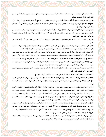. ولأنه من الدنيا التي حلالها حساب وحرامها عقاب، ولقوله صلى الله عليه وسلم ((من ترك ثوب جمال وهو قادر على لبسه كساه الله من حلــــل الكرامة يوم القيامة))المستدرك للحاكم ويختارون لبس المرقعات لمعان منها: ألها أقل مئونة وأقل تخرقا، وأبقى على صاحبها وأقرب إلى التواضع وأصبر على الكد وتدفع الحسر والقسر ولا مطمع فيها لأحد من أهل الشر وتمنع عن الفساد والكبر، روي عن عائشة رضي الله عنها أنما قالت ((أمرني حبيبي رسول الله صلى الله عليه وسلم

وعن أبن عمر رضي الله تعالى عنهما في حديث ذكره قال: رأيت رسول الله صلى الله عليه وسلم يرقع ثوبه ورأيت أبو بكر رضي الله عنه يتخلــــل بالعباءة، ورأيت عمر يرقع جبته برقاع. وعن أنس بن مالك رضي الله عنه قال: كان أحب الألوان إلى رسول الله صلى الله عليه وســــلم الخضــــرة وثياب أهل الجنة خضر رالجامع الصغير)

وعنه رضي الله عنه قال: قال رسول الله صلى الله عليه وسلم ((خير ثيابكم البياض))(السنن الكبرى للنسائى) معناه أجمل ثيابكم وألقيهــــا بســــائر الناس

وأجمعوا على استحباب تسحين الصوت بالقرآن ما لم يخل بالمعنى، لقوله صلى الله عليه وسلم ((زينوا القرآن بأصـــواتكم))(المســـتدرك للحـــاكم) ولقوله عليه السلام ((إن لكل شيء حلية وحلية القرآن الصوت الحسن (الجامع الصغير للسيوطي) ويكرهون القراءة بالألحان المقطعة.

وأما القصائد والأشعار فقد سئل رسول الله صلى الله عليه وسلم عن الشعر ((هو كلام فحسنه حسن وقبيحة قبيح)) فالحسن منه مـــا كــــان مـــن المواعظ والحكم وذكر آلاء الله تعالى ونعمائه، ونعت الصالحين وصفة المتقين فسماعه مستحب، وما كان من ذكر الأطلال والمنازل والآلام والأمم فسماعة مباح، وما كان من هجو وسخف فسماعه حرام، وما كان من وصف الخدود والقدود والشعور، وما يوافق الطباع والنفــوس فســـماعه مكروه، إلا لعالم رباني يميز بين الطبع والشهوة والإلهام والوسوسة قد أمات نفسه بالرياضات والمجاهدات، وخمدت بشريته وفنيت حظوظه وبقيـــت حقوقه وهو كما قال الله سبحانه وتعالي (الذين يستمعون القول فيتبعون أحسنه<sub>))(</sub>آية 18 من سورة الزمر

وعلامة من هذه صفته أن يستوي عنده المدح والقدح والعطاء والمنع، والجفاء والوفاء، سئل بعض المشايخ عن السماع فقــال: مســـتحب لآهـــل الحقائق، مباح لآهل النسك والورع مكروه

لأصحاب النفوس والحظوظ وسئل الجنيد عنه فقال كل ما يجمع العبد بين يدي الله تعالى، ثم قال: فهو مباح.

أن لا أطرح درعا حتى أرقعه<sub>))</sub>

وأما سماع الصوت الحسن والنغمة الطيبة فهو حظ الروح وهو مباح. لآن الصوت الطيب في ذاته محمود، وقيل في تفسير قوله تعــالى ((يزيــــد في ا لخلق ما يشاء))(اية1 من سورة فاطر) قيل: هو الصوت الحسن الطيب. وقال بعضهم: إن الصوت الطيب لا يدخل في القلب شيئا ولكنه يحرك مسا في القلب.

ثم إن أهل السماع يتفاوتون في حال سماعهم فمنهم من يغلب عليه في حال سماعه الخوف أو الخزن أو الشوق فيؤديه ذلــك إلي البكـــاء والأنــــين والشهقة وقزيق الثياب والغيبة والاضطراب ومنهم من يغلب عليه الرجاء والفرح والاستبشار فيؤديه إلى الطرب والرقص والتصــفيق كمـــا روي عن داود عليه السلام أنه استقبل السكنية بالرقص وروي عن على رضي الله عنه أنه قال: أتينا النبي صلى الله عليه وسلم أنا وزيد وجعفــر فقـــال لجعفر ((أشبهت خلقي وخلقي)) فحجل فرحا بقوله وقال لزيد ((أنت أخونا ومولانا فحجل. وقال لي ((أنت مني وأنا منك)) فحجلت. وقال أبسو عبيده الحجل أن يرفع رجلا ويقفز على الأخرى، وقد يكون ذلك بالرجلين، إلا أنه قفز وليس بمشي.

وقد يحدث للمستمع في حال سماعه شوق إلى ما يذكر فيثب من مكانه فعل من يريد الذهاب إلى محبوبه وإذا علم أن لا سبيل إليه كسرر الوثسوب مرارا ويدور دورنا متتابعا وقد يكون ذلك عن تردد يظهر في حال خلال السماع بين الجسد والروح وذلك لآن الجسد سفلي خلق من التـــراب والروح روحانية علوية خلقت من ا لفرح فالروح تعلو إلى عالمها والجسد ينزل إلى محله إلى أن يقع السكون وقد يكون ذلك منهم علـــي ســــبيل الفرح والتفسح والتطايب في حال السماع وليس بمحظور إلا أنه ليس من صفات المحققين.

وحكي عن أبي عبد الله أحمد بن عطاء الروذباري أنه قال: سر الصادق في السماع ثلاثة: العلم بالله والوفاء بما هو عليه وجمع الهمة والمكان الــــذي يسمع فيه يحتاج إلى طيب الروائح وحضور الوقار وعدم الأضداد ورؤية من يتلهي ومن يبتسم.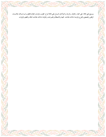ويسمع على ثلاثة: على المجة، والخوف، والرجاء والحركة في السماع على ثلاثة أنواع: الطرب والوجد والخوف فالطرب لـــه ثـــلاث علامـــات الرقص والتصفيق والفرح والوجد له ثلاث علامات: الغيبة والاصطلام والصرخات والخوف له ثلاث علامات البكاء واللطم والزفرات.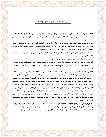فصل: الكلام على فروع الدين وأحكامه

وأما فروع الدين وأحكامه فقد أجمعوا على وجوب تعلم ما لا يسع جهله من أحكام الشريعة، وما يحل وما يحرم ليكون العمل موافقا للعلم، فقـــد قيل: إذا تجرد العلم عن ا لعمل كان عقيما، وإذا خلا العمل عن العلم كان سقيما. وقال صلى الله عليه وسلم: (طلب العلم فريضــــة علــــى كــــل مسلم) سنن ابن ماجة.

واختاروا من المذاهب مذهب السلف فقهاء أصحاب الحديث ولا ينكرون الاختلاف بين العلماء في الفروع، لقوله صلى الله عليه وسلم (راختلاف العلماء رحمة)) وسئل بعضهم عن العلماء الذين اختلافهم رحمة من هم ؟ فقال المعتصمون بكتاب الله تعالي، المجاهدون في متابعة رسول الله صلى الله عليه وسلم المقتدرون بالصحابة. وهم ثلاثة أصناف: أصحاب الحديث، والفقهاء وعلماء الصوفية.

فأما أصحاب الحديث فإنهم تعلقوا بظاهر حديث رسول الله صلى الله عليه وسلم وهو أساس الدين لقوله تعالى (وما آتاكم الرسول فخـــذوه ومـــا نهاكم عنه فانتهوا) أية 7 من سورة الحشر

واشتغلوا بسماعه ونقله وتدبره وتمييز صحيحة من سقيمه وهم حراس الدين.

وأما الفقهاء فإفمم فضلوا على أصحاب الحديث بعد قبول علمهم – بما خصوا به من الفهم والاستنباط في فقه الحديث والتعمق بسدقيق النظــر في ترتيب الأحكام وحدود الدين والتمييز بين الناسخ والمنسوخ، والمطلق والمقيد والمجمل والمفسر والخاص والعام والمحكم والمتشابه فهم حكام السدين أعلامه.

وأما الصوفية فاتفقوا مع الطائفتين في معانيهم ورسومهم إذا كان ذلك مجانبا لاتباع الهوى ومنوطا بالاقتداء، فمن لم يحط من الصـوفية علمـــا بمـــا أحاطوا به يرجعون فيه إليهم في أحكام الشرع وحدود الدين، فإذا اجمعوا فهم على إجماعهم، وإذا اختلفوا أخذ الصوفية بالأحسن والأولي ولسيس من مذهبهم طلب التأويلات وركوب الشهوات. ثم إفمم خصوا بعد ذلك بعلوم عالية ,وأحوال شريفة وتكلمـــوا في علـــوم المعـــاملات وغيـــوب الحركات والسكنات وشريف المقامات، وذلك مثل التوبة، والزهد، والورع والصبر والرضا والتوكل والمجب والخسوف والرجساء والمشساهدة والطمأنينة واليقين والقناعة والصدق والإخلاص، والشكر، والذكر، والفكر، والمراقبة والاعتبار والوجل والتعظيم، والإجلال، والنسدم والحيساء والجمع والتفرقة والفناء والبقاء ومعرفة النفس ومجاهدقا ورياضاقما، ودقائق الرياء، والشهوة الخفية، والشرك الخفي، وكيفية الخلاص منها. ولهــم أيضا مستنبطات من علوم مشكلة على الفقهاء وذلك مثل العوارض والعوائق وحقائق الأذكار وتجريد التوحيد ومنازل التفريد وخبايسات السسر وتلاشي المحدث إذا قوبل بالقديم، وغيوب الأحوال، وجمع المتفرقات، والإعراض عن الأغراض، بترك الاعتراض. فهم مخصوصون بالوقوف علسي المشكل من ذلك بالمنازلة والمباشرة والهجوم ببذل المهج حتى طالبوا من ادعي حالا منها بدلائلها وتكلموا في صحيحها وسقيمها فهم حمساة السدين وأعيانه وأنصاره وأعوانه.

ثم إن كل من أشكل عليه شيء من العلوم الثلاثة فعليه أن يرجع فيه إلى أنمتها، فمن أشكل عليه شيء من علوم الحديث ومعرفة الرجال يرجع فيه إلى أئمة الحديث لا إلى الفقهاء ومن أشكل عليه شيء من دقائق الفقه يرجع إلى أئمة الفقهاء، ومن أشكل عليــــه شــــيء مـــن علــــوم الأحــــوال والرياضات ودقائق الورع ومقامات المتوكلين يرجع فيه إلى أئمة الصوفية لا إلى غيرهم، فمن فعل غير ذلك فقد اخطأ الطريق وسلك المضيق.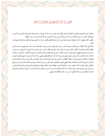فصل: في ذكر أقاويلهم في التصوف وآداهم

اختلفت أجوبة المشايخ في التصوف لاختلاف الأحوال فكل أجاب على حسب حاله أو على قدر ما يحتمل مقام السائل فإن كان مريـــدا أجيـــب على ظاهر المذهب من حيث المعاملات وإن كان متوسطا أجيب من حيث الأحوال، وإن كان عارفا أجيب من حيث الحقيقة. وأظهر ما قال بعضهم: إن أول التصوف علم وأوسطه عمل وآخره موهبة فالعلم يكشف عن المراد والعمل يعين على الطلب والموهبة تبلـــغ غايـــة الآمل.

وأهله على ثلاث طبقات: مريد طالب، ومتوسط سائر، ومنته واصل فالمريد صاحب وقت، والمتوسط صاحب حال، والمنتـــهي صــــاحب نفـــس وأفضل الأشياء عندهم عد الأنفاس فالمريد متعوب في طلب المراد والمتوسط مطالب بآداب المنازل وهو صاحب تلوين، لأنه يرتقي من حسال إلى حال وهو في الزيادة والمنتهي الواصل محمول قد جاوز المقامات، وهو في محل التمكين لا تغيره الأحوال ولا تؤثر فيه الأهوال، كما قيل عن زليخـــا لما كانت صاحبه تمكين في شأن يوسف لم تؤثر فيها رؤية يوسف كما أثرت في اللاتي قطعن أيديهن وإن كانت أتم في حبـــه منــــهن فمقــــام المريــــد المجاهدات والمكابدات وتجرع المرارات ومجانبة المحظوظ وما للنفس فيه متعه ومقام المتوسط ركوب الأهوال في طلب المراد ومراعساة الصسدق في الأحوال واستعمال الآداب في المقامات ومقام المنتهي الصحو والتمكين وإجابة الحق من حيث دعاه قد استوي في حالة الشـــدة والرخـــاء والمنـــع والعطاء والجفاء والوفاء، أكله: كجوعه، ونومه: كسهرة قد فنيت حظوظه وبقيت حقوقه، ظاهرة مع الخلق وباطنة مع الحق، وكل ذلـلك منقـــول من أحوال النبي صلى الله عليه وسلم وأصحابه، أوله كان متخليا في غار حراء ثم صار مع الخلق، ولا فرق عنده بين ا لخلـــوة والجلـــوة وكــــذلك أصحاب الصفة صاروا في حالة التمكين أمراء وزراء، فإن المخالطة لا تؤثر فيهم.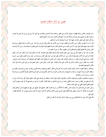#### فصل: في ذكر أحكام المذهب

ثم إن للمذهب ظاهرا وباطنا فظاهره استعمال الأدب مع الخلق، وباطنة منازلة الأحوال والمقامات مع الحق، ألا تري إلي رسول الله صلى الله عليـــه وسلم لما نظر إلى المصلى وهو يعبث في صلاته قال (لو خشع قلبه لخشعت جوارحه) الجامع الصغير .

ولما قال الجنيد لأبي حفص الحداد رحمهما الله: أدبت أصحابك آداب السلاطين.

قال: لا يا أبا القاسم، ولكن حسن الأدب في الظاهر عنوان حسن الأدب في الباطن وقال السري رحمه الله: حسن الأدب ترجمان العقل ومراعـــاة الأدب فيما بينهم مقدم على غيره، ألا تري كيف مدح الله تعالى أهله وشرف محلهم بقوله تعالى((إن الذين يغضون أصواقمم عند رسول الله أولئــــك الذين امتحن الله قلوهِم للتقوى لهم مغفرة وأجر عظيم)) اية3 من سورة الحجرات

وقال أبو عبد الله بن خفيف قال لي رويم يا بني اجعل علمك ملحا وأدبك دقيقا وقيل التصوف كله أدب لكل وقت أدب ولكل حال أدب ولكل مقام أدب فمن لزم الأدب بلغ مبلغ الرجال، ومن حرم الأدب فهو بعيد من حيث يظن القرب ومردود من حيث يرجو القبول وقيل:مسن حسرم الأدب حرم جميع الخيرات وقيل: من لم يتأدب للوقت مقت وقيل: أدب النفس أن تعرفها الخير وتحثها عليه وتعرفها الشر وتزجرها عنسه وقيسل: الأدب سند الفقراء وزين الأغنياء والناس في الأدب على ثلاث طبقات: أهل الدنيا، وأهل الدين، وأهل الخصوصية من أهل الدين، فأما أهل الدنيا فأكثر آداهِم فيها الفصاحة.

والبلاغة، وحفظ العلوم، وأخبار الملوك وأشعار العرب وأما أهل الدين فأكثر آدابهم مع العلوم رياضة النفوس وتأديب الجوارح وقمسذيب الطبساع وحفظ الحدود وترك الشهوات واجتناب الشبهات والمسارعة إلى الخيرات وأما أهل الخصوصية من أهل الدين فآداهم حفسظ القلسوب ومراعساة الأسرار واستواء السر والعلانية.

والمريدون يتفاضلون بالعمل والمتوسطون بالأدب والعارفون بالهمة وقيل الهمة ما يبعثك من نفسك على طلب المعالى وقيمة كل امرئ همته سئل أبو بكر الواسطى عن مالك بن دينار وداود الطائي ومحمد ابن واسع وأمثالهم من العباد فقال: القوم ما خرجوا من نفوسهم إلا إلى نفوســــهم تركـــوا النعيم الفاني للنعيم الباقي إلى خالق الفناء والبقاء.

وسئل الجنيد عن قوله تعالى (لا يسألون الناس إلحاقا) آية 273 من سورة البقرة. فقال: تمنعهم علو هممهم عن رفع حوائجهم إلا إلى مولاهم وقال الحصري في حكاية: أذا زفرت جهنم زفرة فالكل يقول نفسي نفسي الآجل والأدبى إلا محمدا صلى الله عليه وسلم يرجع إلى حد الشفاعة فيقول: أمتي أمتي.

فلا يبقى لأحد نفس بلا علة فتقول ربي ربي، ليعلم أن محل الحوادث لا يخلو من العلل.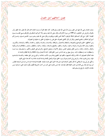سئلت عائشة رضي الله عنها عن خلق رسول الله صلى الله عليه وسلم قالت: كان خلقه القرآن (مسند الإمام احمد) قال الله تعالى (خذ العفو وأمر بالعرف وأعرض عن الجاهلين<sub>) (</sub>آية 199 من سورة الأعراف<sub>)</sub> وقال صلى الله عليه وسلم <sub>((</sub>ألا أخبركم بأحبكم إلى وأقربكم مـــني مجلســــا يــــوم القيامة ؟ قالوا: بلي قال أحاسنكم أخلاقا الموطنون أكنافا الذين يألفون ويؤلفون)) وقال صلى الله عليه وسلم ((سوء الخلـــق شـــؤم، وشــــراركم أسوؤكم أخلاقا)) (الجامع الصغير) وقال أبو بكر الكتاني التصوف خلق فمن زاد عليك في الحلق زاد عليك في التصوف.

ومن أخلاقهم: الحلم والتواضع والنصيحة، والشفقة والاحتمال، والموافقة، والإحسان، والمداراة، والإيثار، والخدمة، والألفة، والبشاشة، والكسرم، والفتوة، وبذل الجاه والمروءة، والمودة، والجود، والتودد، والعفو، والصفح والسخاء، والوفاء، والجاء، والتلطف، والبشر، والطلاقة.والسكينة والوقار، والدعاء، والثناء، وحسن الظن وتصغير النفس، وتوقير الأخوان، وتبجيل المشايخ، والترحم على الصغير والكبير، واستصـــغار مـــا منــــه واستعظام ما منه واستعظام ما إليه. وسئل سهل بن عبد الله عن حسن الخلق فقال: أدناه الاحتمال وترك المكافأة والرحمة للظالم والدعاء له. هذه أخلاق المتصوفين لا ما قاله وارتكبه المتشبهون، فإنهم سموا الطمع زيادة وسوء الأدب إخلاصا، والخروج عن الحق شطحا، والتلسذذ بالمسذموم طيبة، واتباع الهوى ابتلاء، والرجوع إلى الدنيا وصولا وسوء الخلق صولة والبخل نكادة وبذاءة اللسان ملامة وما كان هذا طريق القوم وحكى عن أبي يزيد البسطامي أنه قال لبعض أصحابه قم بنا إلى هذا الذي أشهر نفسه بالزهد. فقصداه فوجداه خارجا من داره إلى المسجد فنظــر أبو يزيد إليه وقد رمي نخامة إلى جانب القبلة فقال لصاحبه: هذا ليس بمأمون على أدب من آداب الشريعة فكيف يكون مأمونا على ما يدعيه مـــن مقامات الأولياء، فرجع ولم يسلم عليه.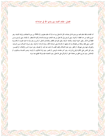فصل: مقام العبد بين يدي الله في عباداته

أما المقامات فإلها مقام العبد بين يدي الله في عباداته، قال الله تعالى (وما منا إلا له مقام معلوم)) (آية 164 من سورة الصافات) وأولها الانتباه: وهو خروج العبد من حد الغفلة، ثم التوبة: وهي الرجوع إلى الله تعالى من بعد الذهاب مع دوام الندامة وكثرة الاستغفار، ثم الإنابة: وهي الرجوع مـــن الغفلة إلى الذكر . وقيل: التوبة الرهبة، والإنابة: الرغبة، وقيل التوبة في الظاهر والإنابة في الباطن، ثم الورع: وهو ترك ما اشتبه عليـــه، ثم محاســـبة النفس: وهي تفقد زيادهًا من نقصالها وما لها وعليها، ثم الإرادة وهي استدامة الكد، وترك الراحة، ثم الزهد: وهو تـــرك الحـــلال مـــن الـــدنيا، والعزوف عنها وعن شهوالها، ثم الفقر: وهو عدم الامتلاك وتخليه القلب مما خلت عنه اليد، ثم الصدق: وهو استواء السر والإعلان، ثم التصـــــــــر: وهو حمل النفس على المكارة وتجرع المرارات. وهو آخر مقامات المريدين، ثم الصبر: وهو ترك الشكوى، ثم الرضا: وهـــو التلــــذذ بـــالبلوى، ثم الإخلاص: وهو إخراج الخلق من معاملة الحق، ثم التوكل على الله تعالي: وهو الاعتماد عليه بإزالة الطمع عما سواه.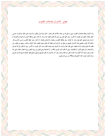#### فصل: الأحوال معاملات القلوب

وأما الأحوال فإنها معاملات القلوب وهي ما يحل بما من صفاء الأذكار قال الجنيد: الحال نازلة تنزل بالقلب ولا تدوم، فمن ذلك المراقبــــة: وهــــي النظر بصفاء اليقين إلى المغيبات ثم القرب: وهو جمع الهمم بين يدي الله تعالى بالغيبة عما سواه، ثم المحبة: وهي موافقة المحبوب في محبوبة ومكروهه ثم الرجاء وهو تصديق الحق فيما وعد، ثم الخوف: وهو مطالعة القلوب بسطوات الله تعالى ونقماته، ثم الحياء: وهو حفظ القلــب عـــن الانبســــاط، وذلك لآن القرب يقتضي هذه الأحوال فمنهم من ينظر في حال قربة إلى عظمة الله تعالى وهيبته فيغلب عليه الخوف والحياء، ومنهم من ينظـــر إلى لطف الله تعالى وقديم إحسانه فيغلب على قلبه المجة والرجاء ثم الشوق وهو هيمان القلب عند ذكر المحبوب ثم الأنس: وهو السكون إلى الله تعــالى والاستعانة به في جميع الأمور ثم الطمأنينة: وهي السكون تحت مجاري الأقدار، ثم المشاهدة وهي فصل بين رؤية اليقين ورؤية العيان، لقوله صلى الله عليه وسلم ((اعبد الله كأنك تراه، فإن لم تكن تراه فإنه يراك)) وهو آخر الأحوال ثم تكون فواتح ولوائح ومنائح تجفو العبادة عنسها قسال تعسالى ((وأن تعدوا نعمت الله لا تحصوها))(اية34 من سورة إبراهيم).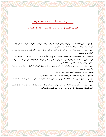#### فصل: في ذكر اختلاف المسالك والمقصود واحد

#### والمقاصد مختلفة لاختلاف حال القاصدين ومقامات السالكين

فمنهم من سلك طريق العبادة ولا زم الماء والمحراب، واشتغل بكثرة الذكر والنوافل وواظب على الأوراد، وهي أسلم الطرق قال تعسالي (أولئسك الذين هداهم الله وأولئك هم أولو الألباب) (آية 18 من سورة الزمر)

ومنهم من سلك طريق الرياضات والمكابدات وقهر النفس في المخالفات وهي أفضل الطرق قال تعالى: (أولئك يؤتون أجرهم مرتين بمسا صـــبروا) رآية 54 من سورة القصص)

ومنهم من سلك طريق الخلوة والعزلة طلبا للسلامة من المخالطة وهي أصح الطرق (فأولئك ما عليهم من سبيل) (آية 41 من سورة الشوري) ومن سلك طريق السياحة والأسفار والاغتراب عن البلدان وحمول الذكر وهي أوضح الطرق قال تعالى: (أولئك الذين نتقبل عنهم أحســـن مـــا عملوا ونتجاوز عن سيئاقم) (آية 16 من سورة الأحقاف)

ومنهم من سلك طريق الخدمة وبذل الجاه للإخوان وإدخال السرور عليهم وهي أشرف الطرق قال تعالى: (أولئك يجزون الغرفة بما صبروا) (آيسة 75 من سورة الفرقان).

ومنهم من سلك طريق المجاهدات وركوب الأهوال ومباشرة الأحوال.

ومنهم من سلك طريق إسقاط الجاه عند الخلق وقلة الالتفات إليهم وترك الاشتغال بخيرهم وشرهم

ومنهم من سلك طريق العجز والانكسار كما قال الله تعالى (وآخرون اعترفوا بذنوبمم خلطوا عملا صالحا وأخر سيئا عسى الله أن يتـــوب عليــــه) رآية 102 من سورة التوبة)

ومنهم من سلك طريق التعلم والمساءلة ومجالسة العلماء وسماع الأخبار وحفظ العلوم وكل طريق يحتاج فيه إلى موفق ودليل يأخذ به فيه ليسلم من الحيرة والفتنة قيل لبعضهم إن فلانا قد رجع فقال أراه رجع إلا لوحشة الطريق من قلة سالكيها.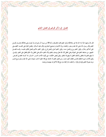# فصل: في ذكر قولهم في فضل العلم

قال الله ((شهد الله أنه لا إله إلا هو والملائكة وأولو العلم قائما بالقسط)) (آية 18 من سورة آل عمران) بدأ بنفسه وثنى بملائكة وثلـــث بأهــــل العلم وقال رسول الله صلى الله عليه وسلم: ((العلماء ورثة الأنبياء)) (صحيح البخاري) وقال عليه السلام: ((فضل العالم على العابـــد كفضــــلي على أدناكم رجلا)). وقيل: العلم روح والعمل جسد. وقيل: العلم أصل والعمل فرع. وقيل: العلم حاكم والعمل محكوم عليــه. وقــد فضـــل الجمهور من مشايخنا العلم على المعرفة وعلى العقل لأن الله تعالى يوصف بالعلم ولأن العلم حاكم على العقل ولا حكم للعقل على العلم. وقيــــل: لا ينفع العلم إلا بالعقل وكذلك العقل لا ينفع إلا بالعلم. وقيل لبعض الحكماء: متى يكون الآداب أضــــر ؟ قـــال: إذا كـــان العقــــل أنقـــص. وقيل:الآداب صورة عقلك فحسن عقلك كيف شئت. ومن فضل العلم أن الهدهد مع قلة خطره أجاب سليمان صلى الله عليه وسلم مـــع علـــو مرتبه بصولة العلم وقوته في قوله: ((أحطت بما لم تحط به)) مع قلة الاكتراث بتهديده ووعيده.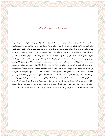# فصل: في ذكر آداهِم في محاورالهم

وهو أن يقصد بكلامه النصح والإرشاد وطلب النجاة وما يعود نفعه على الكل ولا يكلم الناس إلا على قدر عقولهم قال السنبي صسلى الله عليسه وسلم ((أمرنا معاشر الأنبياء أن نكلم الناس على قدر عقولهم)) ولا يتكلم في مسألة لا يسأل عنها وإذا سئل عنها أجاب على قدر الســـائل. قيـــل حكي عن الجنيد رحمه الله أنه قيل له: يسألك السائل عن مسألة فتجيبه ثم يسألك أخر عن تلك المسألة فتجيبه بجواب أخر ؟ فقـــال: علــــى قــــدر السائل يكون الجواب. وإذا سأل لا يسأل إلا عن مقامه. ولا يتكلم فيما لا يبلغه استعماله وقد قيل: يجوز ذلك قال رســـول الله صــــلى الله عليــــه وسلم ((رب حامل فقه إلى من هو أفقه منه)) (ابن ماجه في سننه) ولا يبذل العلم إلا لأهله وقيل ابذل العلم لأهله ولغير أهله فالعلم أمنع جانباً من أن يصل إلى غير أهله ولا يتكلم بين يدي من هو أعلم منه سئل ابن المبارك مسألة بحضرة سفيان الثوري فقال: أنا أتكلم عند الأســــتاذين. وقـــال بعضهم: لا يحسن هذا العلم إلا لمن عن وجده وينطق عن فعله. وقيل: من لم ينتفع بسكوته لم ينتفع بكلمه. ومن الآداب ألا يتكلم في العلــــم قبــــل أوانه فيتولد عنه أفات تقطعه عن الفوائد ويحذر أن يطلب الجاه والمنزلة عند الناس والحكام الدنيا فيكون ممن لا ينفعه الله تعالى بعلمه. وقد اســـتعاذ النبي صلى الله عليه وسلم من علم لا ينفع وقال صلى الله عليه وسلم ((من طلب العلم ليمارى به العلماء أو يجارى به السفهاء أو ليصــــرف بــــه وجوه الناس إليه فليتبوأ مقعده من النار (الجامع الصغير) ويجتهد في استعمال ما سمعه ويعلمه. فقد قيل: كل من سمع شيئاً من علوم القوم فعمل بـــه صار ذلك حكمة في قلبه وينتفع به السامعون له وكل من سمع ولم يعلم به كان ذلك حكاية يحفظها أياما ثم ينساها وقيل: الكلام إذا خـــرج مــــن القلب وقع على القلب وإذا خرج من اللسان لم يجاوز الأذنين. حكي الشبلي أن رويما قال للجنيد رحمهما الله: كم تنادى على الله بين يدي العامـــة ؟ فقال: أنا أنادي على العامة بين يدي الله تعالى فقال: قوم أفنوا أسرارهم بالحظوظ وأبصارهم باللحظ أبي لهم إلى ذكر الله سبيل. وقيل للنوري: لم لا تتكلم على إخوانك ؟ فقال: لأفمم في سفر الوحشة. وقد حكى الشبلي أنه قال في مجلس الجنيد: الله. فقال: إن كنت حاضراً فهو ترك الحرمــــة وأن كنت غائباً فالغيبة حرام. وسأل أبو بكر الشبلي الجنيد مسألة فقال له: بينك وبين أكابر الناس عشرة ألاف مقام أولها محو ما بدأت به.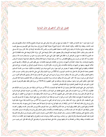#### فصل: في ذكر آداهِم في حال البداية

أول ما يلزم المريد – بعد الانتباه من غفلته – أن يقصد إلى شيخ من أهل زمانه مؤتمن على دينه معروف بالنصح والأمانة، عارف بالطريق فيســــلم نفسه لخدمته، ويعتقد ترك مخالفته، ويكون الصدق حالته. ثم يلزم الشيخ أن يعرفه كيفية الرجوع إلى سيده ويدله على الطريـــق ويســــهل عليــــه سلوكها ويعلمه شرائع إسلام مما له وعليه وأولي الأشياء به تصفية المطعم والمشرب والملبس لأنه بذلك يجد الزيادة في حالة. قال رسول الله صــــلى الله عليه وسلم ((طلب الحلال فريضة بعد الفريضة)) وقال بعضهم: طلب الحلال فريضة على كل، وترك الحلال فريضة على هذه الطائفة إلا على حد الضرورة ثم قضاء ما ضيع من الفرائض ثم رد المظالم على أهلها، لقول النبي صلى الله عليه وسلم ((رد دانق من حرام يعدل عنـــد الله ســـبعين حجة)) وما كان عليه من ضرب وجرح وقطع فالقصاص، وما كان من غيبة وغيمة أو شتيمة فالاستحلال والاستغفار لصاحبها ثم معرفسة السنفس وتأديبها بالرياضات، ولها صفتان: الهماك في الشهوات وامتناع من الطاعات فيروضها بالمجاهدات: وهي فطم النفس عن مألوفاقما، وحملـــها علــــي خلاف أهويتها، ومنعها من الشهوات ويأخذها بالمكابدات وتجرع المرارت، بكثرة الأوراد، واستدامة الصوم والنوافل من الصلوات، مع الندم على المخالفات ونقلها عن قبيح العادات ويجتهد أن يتعوض عن النوم سهرا، وعن الشبع جوعا وعن الرفاهية بؤسا فيكون حينئذ مـــن جملـــة التــــائبين المختصين بمحبة الله تعالى قال الله تعالى (إن الله يحب التوابين)) (آية 222 من سورة البقرة) وقال النبي صلى الله عليه وسلم ((التائب حبيـــب الله)) (الجامع الصغير) ويكون من الذين يبدل الله سيئاقم حسنات روي أبو هريرة عن النبي صلى الله عليه وسلم أنه قال ((ليتمنى أقوام أفمم أكثروا مـــن السيئات قيل من هم يا رسول الله ؟ قال: الذين يبدل الله سيئامهم حسنات) (رواه البخاري ومسلم) ويكون من جملة المختصين بدعوة حملة العــــرش لقوله تعالى: (فاغفر للذين تابوا واتبعوا سبيلك)) إلى قوله ((وذلك هو الفوز العظيم)) (آية 7.8.9 من سورة غافر) فلقد عظم أقدارهم إذ جعـــل العرش داعين لهم، لمثل هذا فليعمل العاملون وفي ذلك فليتنافس المتنافسون.

والتوبة فرض على جميع المؤمنين لقولة تعالى (وتوبوا إلى الله جميعا أيها المؤمنون) (آية 31 من سورة النور) وقوله عز وجل (ومن لم يتب فأولئك هم الظالمون) (آية 11 من سورة الحجرات) قال بعض المشايخ غفلتك عن التوبة لذنب ارتكبته اشد من ارتكابه ومن اخترمته المنية قبل التوبة فسأمره إلى الله تعالى قال تعالى (وإن ربك لذو مغفرة للناس على ظلمهم) (آية 6 من سورة الرعد) الآية ووقتها باق ما لم تبلغ الروح الحلقوم، أو يأتي غلق باب التوبة فحينئذ لا ينفع نفسا إيمامًا لم تكن آمنت من قبل أو كسبت في إيمامًا خيرا ثم يلازم الورع في جميع أحواله، ويعلم أن الله تعـــالي محاســــبه على الاستقصاء. قال الله تعالي: ((وإن كان مثقال حبة من خردل أتينا بما وكفي بنا حاسبين)) (آية 47 من سورة الأنبياء) فإذا صح له مقام التوبة والروع وشرع في مقام الزهد فقد آن له لبس المرقعة إن رغب فيها فيراع ما يلزمه في لبسها لئلا يصير هجينا أو يخرج مبهرجا، وقد وهت هـــذه القاعدة وارتفع التمييز وانحل النظام ووقع الرضا من جنبة الأتباع للآرقاق، ومن جنبة المتبوعين بالأتباع ومن ذلك ينتشر الفساد ويظهـــر العنـــاد فملبس المرقعة يجب أن يكون قد أدب نفسه بالآداب، وراضها بالمجاهدات والمكابدات وتحمل المشاق وتجرع المرارات ويكون قد جساوز المقامسات وتأدب بالمشايخ الذين يصلحون للاقتداء وصحب رجال الصدق وعرف أحكام الدين وحدوده وأصول المذهب وفروعه ومن لم يكن هذه الصسفة فحرام عليه التصدي للمشيخة والإرادة وقيل: من لم يتأدب برؤية عيوب أفعاله ورعونات نفسه والعمل في إزالتها بجهده لم يجز الاقتداء به، ثم يأخذ نفسه بالمجاهدات ويتفقد زيادقا من نقصافا وما لها وعليها ويعرض حاله على شيخه فيما يعرض له وعليه يفي كل وقت فقد قيل: ليس بلبيب مـــن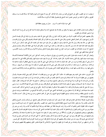لم يصف ما به إلى الطبيب حكي عن الشيخ أبي محمد بن سلمه رحمه الله قال: كل مريد لا يصح له في اليوم والليلة كذا مسألة فإنسه مـــا ســــلك الطريق، وحكى أن جماعه من المريدين حضروا عند الشبلي فوجدهم في غفلة لا يذكرون مسألة فأنشد:

كفي حزنا بالواله الصب أن يرى \_ منازل من يهوي معطلة قفرا

ثم يطالب نفسه بمنازل المقامات على ترتيبها ولا ينتقل من مقام إلا بعد تصحيح آدابه ولا يشتغل بالزهد إلا بعد الفراغ من الورع وما أشبة ذلــك إلى أن تصير المعاملات إلى القلوب.

وقال بعضهم: العمل بحركات القلوب أشرف من العمل بحركات الجوارح. وقال النبي صلى الله عليه وسلم ((لو وزن إيمان أبي بكر بإيمـــان أهــــل الأرض لرجح بمم)) (كنز العمال للمتقى الهندي) وقال صلى الله عليه وسلم ((ما فاق أبو بكر بكثرة الصلاة والصيام ولكن بشيء وقر في قلب)) ولهذا ظهر من حاله بعد وفاة رسول الله صلى الله عليه وسلم ما لم يظهر من حال غيره حين صعد المنبر فحمد الله وأثني عليه، ثم قال: مـــن كـــان منكم يعبد محمدا فإن محمدا قد مات ومن كان يعبد رب محمد فإن رب محمد حي لا يموت. وقاتل أهل الردة حتى حفظ الإســـلام، وقـــال بعـــض المشايخ: أذا صارت المعاملات إلى القلوب استراحت الجوارح. فحينئذ يشتغل بعمارة الباطن ومباشرة الأحوال ومراعاة الأسرار وعـــد الأنفـــس، كما قيل عبادة الفقير نفي الخواطر.

وليحذر كل الحذر أن يفسد بدايته بقول المثنين ومدح المادحين بل يرجع إلى ما يعرف من نفسه، كما قيل: ليس سماع الألفاظ كمشاهدة الألحساظ ويعود نفسه صيام النهار وقيا الليل وخدمة الأخوان. قال الجنيد رحمة الله: كل مريد لا يعود نفسه صيام النهار وقيام الليل فكأنه تمني ما لا يصــــلح له ثم يراعي أن ينفق أوقاته في شرب من الخير، فإن الوقت إذا فات لا يدرك قال النبي صلى الله عليه وسلم ((لا ينبغي للعاقل أن يكون شاخصا إلا في ثلاث: مرمة لمعاش، أو تزود لمعاد، أو لذة في غير محرم)) وقال على رضي الله عنه ينبغي للمؤمن أن يكون له أربع ساعات من النــــهار: ســــاعة يناجي فيها ربه، وساعة يحاسب فيها نفسه، وساعة يأتي فيها العلماء الذين يبصرونه بأمر الله وينصحونه، وساعة يخلي بين نفسه ولذاقا فيمــــا يحـــل ويجمل.

قال الجريري: دخلت على الجنيد وهو مهتم فقلت له: مالك ؟ قال: فاتني شيء من وردي فقلت له: أعده قال كيف وهي أوقات معدودة: وقـــال بعضهم من سبق بخطوة لا يدرك إذا كان صادقا والمريد يجب ألا يخلو ظاهره من الأوراد وباطنة من الإرادات إلى أن ترد عليه الـــواردات فحينئـــذ يكون من الواردات لا مع الأوراد ولا مع الإرادات ورأى بعض المشايخ سبحه في يد مريد فقال: ما تعمل بما ؟ قال أعد التسبيحات. فقال: عليك بعد السيئات لا بعد التسبيحات وينبغي أن يغتنم خدمة الإخوان ويقدمها على النوافل فقد روي عن عائشة رضي الله عنها أفما قالـــت: مــــا رئـــى رسول الله صلى الله عليه وسلم فارغا في أهله، إما أن يخصف نعلا لمسكين أو يخيط ثوبا لأرملة. حكي عن أبي عمرو الزجاجي أنه قال: أقمت عنـــــد الجنيد مدة مديدة فما رآني قط إلا وأنا مشتغل بنوع من العبادة فما كلمني حتى كان يوما من الأيام خلا للوضع من ا لجماعة فقمت ونزعت ثيسابي وكنست الموضع ونظفته ورششته وغسلت موضع الطهارة فرجع الشيخ ورأى على أثر الغبار فدعاني ورحب بي ودعا لي وقال: أحسنت هكسذا عليك بها عليك بها ثلاثا.

ويكره للمريد مفارقة أستاذه قبل انفتاح عين قلبه، عليه أن يصبر تحت أمره ونميه في خدمته قال بعض المشايخ: من لم يتأدب بأوامر الشيوخ وتأدبمم فلا يتأدب بكتاب ولا سنة وقيل: علامة المريد السمع والطاعة للدليل وترك التبصر عند الطبيب. وقال بعض المشايخ: أذا رأيت المريد قائمــا مـــع الشهوات طالبا لحظوظ النفس فاعلم أنه كذاب وإذا رأيت المتوسط غافلا عن حفظ قلبه ومراعاة أحواله فأعلم أنه كذاب وإذا رأيت من يشير إلى معرفة وميز بين المدح والذم والقبول والردة فاعلم أنه كذاب وقال الجنيد لولا العلامات لادعى كل إنســـان ســـلوك الطريقـــة قـــال الله تعـــالى ((فلعرفتهم بسيماهم ولتعرفنهم في لحن القول)) (آية 30 من سورة محمد) ويجب أن يعلم انه لا يصح له حال ولا مقام ولا عبادة إلا بسالإخلاص وهو تصفيتها عن رؤية الحلق فقد روي عن ا لنبي صلى الله عليه وسلم أنه قال ((يقول الله تعالى: أنا أغنى الشركاء عن الشرك فمن عمل لي عمــــلا أشرك فيه معي غيري فأنا بريء منه ومن عمله)) وقال بعضهم كل حق شارك الباطل فقد خرج من قسمة الحق إلى قسمة الباطل فإن الحق غيسور . ولا بأس بما يظهر من أحواله وعابداته من غير قصد له في إظهاره ولا يصح له الإخلاص إلا بمعرفة مقادير الخلق وضعفهم وقلة نفعهم وضرهم كما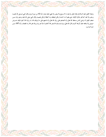وصفة الخليل عليه السلام في قوله تعالى (لم تعبد ما لا يسمع ولا يبصر ولا يغني عنك شيئا) (آية 42 من سورة مريم) وقال النبي صــــلى الله عليــــه وسلم ((لا يجد أحدكم حلاوة الإيمان حتى يعلم أن ما أصابه لم يكن ليخطئه وما أخطاة لم يكن ليصيبه) وقال النبي صلى الله عليه وسلم ((إن مـــن ضعف اليقين أن ترضي الناس بسخط الله تعالى وأن تحمدهم على رزق الله تعالى وأن تذمهم على ما لم يؤتك الله، إن رزق الله لا يجره إليك حــــرص حريص ولا يدفعه عنك كراهة كاره)) قال الله تعالي) (وإن يمسسك الله بضر فلا كاشف له إلا هو وإن يردك بخير فلا راد لفضله).(آية 107 مـــن

سورة يونس).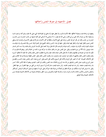فصل: الاجتهاد في معرفة النفس وأخلاقها

ويجتهد في مراعاة نفسه ومعرفة أخلاقها، فإنما الأمارة بالسوء ولا يغفل عنها وأن تناهى في المعرفة فإن النبي صلى الله عليه وسلم كان مراعيـــا لهـــا ومستعيذا بالله من شرها وكان على بن أبي طالب رضي الله عنه يقول: ما أنا ونفسي إلا كراعي غنم كلما ضمها من جانب انتشرت مـــن جانـــب انتشرت من جانب وقال أبو بكر الوراق النفس مرائية على جميع الأحوال منافقة في أكثر الأحوال مشركة في بعض الأحـــوال وقـــال الواســـطي النفس صنم والنظر إليها شرك والنظر فيها عباده وقيل: مثلها في إبداء الحسن وإخفاء القبيح مثل الجمرة لونما حسن وإنما لتحـــرق وإن عوقبـــت تشوقت للتوبة وتمنت الأوبة وإن عوفيت ركبت هواها وأعرضت قال الله تعالى (وإذا أنعمنا على الإنسان أعرض ونأى بجانبه وإذا مسه الشر فسذو دعاء عريض) (آية 51 من سورة فصلت) وقيل: مثل النفس مثل ماء واقف صاف إن حركته تبين ما تحته من الحمأة والنتن. ويعلم أفما طلبـــت أن تكون لله ضدا في دعواها في مطالبتها وذلك أن الله تعالى طالب عباده بالثناء عليه والمدح له فطلبت النفس ذلك وطالب الله العباد ألا يخالفوا أمــــره وفميه وطلبت النفس ذلك وطالبهم أن يكون هو المرغوب إليه والمرهوب منه وطلبت النفس ذلك وقيل: النفس لطيفة مودوعة في هذا القالب وهي محل الأخلاق المحودة، كما أن البصر محل الرؤية والأذن محل السمع والأنف محل الشم وقيل: الروح معدن الخير والنفس معدن الشـــر والعقـــل جيش الروح والهوى جيش النفس والتوفيق من الله مدد الروح والخذلان مدد النفس والقلب في أغلب الجيشين.ويعلم أن جملة الأمور ثلاثة: أمـــر بان رشده فيجب متابعته. وأمر بان غيه فيجب مجانبته. وأمر مشتبه فيجب مشاركته إلى أن يتبين الرشد من الغي من جهة العلم أو من جهة العقل. وقيل: إذا عرض لك أمران شككت في خيرهما فانظر في أبعدهما من هواك فإنه خيرهما وعلى المريد أن يجتهد في تبديل أخــــلاق الـــنفس كــــالكبر والبخل والحرص والآمل والحدة والحسد والرياء والمراء والمنازعة الغيبة والتحريش وسوء الظن والوقاحة وغيرها من الأخلاق الذميمة بضدها مسن الأخلاق الحميدة وبالله التوفيق.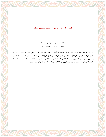فصل: في ذكر آداهم في صحبة بعضهم بعض

قيل:

وحدة الإنسان خير من للجليس السوء عنده وجليس الخير خير من جلوس المرء وحده

قال رسول الله صلى الله عليه وسلم ((المرء على دين خليله فلينظر أحدكم من يخالل)) وقال صلى الله عليه وسلم ((المؤمن السذي يخسالط النسـاس ويصبر على أذاهم خير من المؤمن الذي لا يخالطهم ولا يصبر على أذاهم وفي الكل خير)) وقال صلى الله عليه وسلم ((لا خير فيمن لا يسألف ولا يؤلف)) وسئل أبو حفص النيسابوري عن أحكام الفقر وآداب الفقراء في الصحبة فقال: حفظ حرمات المشايخ وحسن العشــــرة مــــع الأخــــوان والنصيحة للأصاغر وترك صحبة من ليس من طبقتهم وملازمة الإيثار ومجانبة الادخار والمعاونة في أمر الدنيا والدين.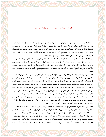فصل: مصاحبة الجنس ومن يستفيد منه خيرا

ومن آداهم أن يصحب الجنس ومن يستفيد منه خبرا وقال بعضهم: أولى الناس بالصحبة من يوافقك في اعتقادك وتحتشمه في مجالســـتك قـــال الله تعالى (ولا تؤمنوا إلا لمن تبع دينكم) (آية 73 من سورة أل عمران) ولا يصحب من يخالفه في مذهبه وإن كان قريبا منه، ألا تري نوحا صــــلى الله عليه وسلم لما قال إن ابني من أهلي) كيف أجيب بقوله تعالى (إنه ليس من أهلك) (آية 45 من سورة هود) وروي عن النبي صلى الله عليه وســــلم أنه قال: لما نزل قوله تعالى (لا تجد قوما يؤمنون بالله واليوم الآخر يوادون من حاد الله ورسوله) (آية 22 من سورة المجادلة) "اللهم لا تجعل لفـــاجر عندي يدا فيحبه قلبي" بل يصحب من يثق بدينه وأمانته ومذهبة وورعه في ظاهره وباطنه.

ومن آداهم القيام بخدمة الإخوان والأصحاب ورفع المؤن عنهم واحتمال آذاهم وترك الإنكار عليهم إلا فيما يخالف الشرع ويعرف لكسل واحسد قدره على مرتبته قال سفيان بن عيينة من جهل أقدار الرجال فهو بقدر نفسه أجهل وقال لا يستخف بأقدار الرجال إلا من لا قدر له ويهـــدي إلى صاحبه عيوبه ويدله على ما فيه صلاحه وجماله قال النبي صلى الله عليه وسلم ((المؤمن مرآة المؤمن)) (التاج) وقال عمر رضي الله عنــــه رحــــم الله امرأ أهدي إلي عيوبي ومن آداهم أن يصحب كل أحد على قدر حاله وما يليق به فالصحبة مع المشايخ والكبراء بالاحترام والخدمة والتوقير والقيام بأشغالهم.

والصحبة مع الأقران بالبشر والانبساط والموافقة وبذل المعروف والإحسان والكون معهم على حكم الوقت حكي أن أبا العباس بن عطساء مسد رجليه بين يدي أصحابه فقال ترك الأدب بين يدي أهل الأدب أدب وقال الجنيد: أذا صحت المودة سقطت شروط الأدب وروي عن النبي صلى الله عليه وسلم أنه كان عنده أبو بكر وعمر رضي الله عنه فدخل عثمان رضي الله عنه فغطي جسمه وسوي ثيابه وجلس فسئل عن ذلـــك فقــــال ((ألا أستحي ممن تستحي منه الملائكة)) فحشمة عثمان رضي الله عنه وإن عظمت فالحالة التي بين رسول الله صلى الله عليه وسلم وبينهما أصــــفي ولا يداهنهم فيما يخالف المذهب فقد قال رويم مازالت الصوفية بخير ما تنافروا فإذا اصطلحوا هلكوا ويخضع عند الحق ويقابله بسالقبول وروي أن عمر رضي الله عنه أمر بقلع ميزاب كان في دار العباس بن عبد المطلب إلى الطريق بين الصفا والمروة فقال له العباس: قلعت ما كان النبي صلى الله عليه وسلم وضعه بيده ؟ فقال له: إذا لا يرده إلى مكانه غير يدك ولا يكون لك سلم غير عاتق عمر فأقام على عاتقه ورده إلى مكانه.

والصحبة مع الأصاغر بالشفقة والإرشاد والتأديب، والحمل على ما يوجبه حكم المذهب ويدلهم على ما فيه صلاحهم لا على ما فيه مرادهم وعلى ما يفيدهم لا على ما يحبونه وزجرهم عما لا يعنيهم ألا تري أن الله تعالى ذم الربانيين والأحبار حين تركوا زجر قومهم عن المنكر بقوله تعالى (لولا ينهاهم الربانيون والأحبار عن قولهم الآثم وأكلهم السحت) الآية 63 من سورة المائدة.

والصحبة مع الأستاذ باتباع أمره وفميه وهي من حيث الحقيقة خدمة لا صحبه قيل لآبي منصور المغربي كم صحبت أبا عثمان ؟ قسال خدمتـــه لا صحبته والقيام بخدمة أستاذه واجب والصبر تحت حكمه وترك مخالفته ظاهرا وباطنا وقبول قوله والرجوع إليه في جميع ما يعسرض لسه والتعظــيم لحرمته ومجانبة الإنكار عليه سرا وجهرا، قال الله تعالى (فلا وربك لا يؤمنون حتى يحكموك فيما شجر بينهم)(آية 65 من سورة النســـاء) وقيــــل: الشيخ في قومه كالنبي في أمته سال بعض أصحاب الجنيد مسألة من الجنيد فأجاب الجنيد فعارضه في ذلك فقال وإن لم تؤمنوا لي فاعتزلون ويكسون في صحبته كالصحابة مع النبي صلى الله عليه وسلم في تأدبهم بآداب القرآن قال الله تعالى (لا تقدموا بين يدي الله ورسوله) (آيــــة 1 مــــن ســــورة الحجرات) وقال تعالى (لا ترفعوا أصواتكم فوق صوت النبي) (اية2 من سورة الحجرات) وقال تعالى (لا تجعلوا دعاء الرســـول بيـــنكم كـــدعاء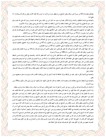بعضكم بعضا)(آية 63 من سورة النور) وقال بعض المشايخ من لم يعظم حرمه من تأدب به حرم بركة ذلك الأدب وقيل من قال لأسستاذه لم؟ لا يفلح أبدا.

والصحبة مع خادمة بالتلطف والدعاء وترك الإنكار عليه في ما يبدو منه، قال أنس بن مالك رضي الله عنه خدمت رسول الله صلى الله عليه وسلم عشر سنين فما قهرني ولا فمرني ولا قال لشيء فعلته لم فعلته ولا لشيء لم أفعله لم ما فعلته وربما كان يخرج معي ويقول ((يا أبا الأذنين)).

والصحبة مع الغرباء بالبشاشة والبشر وطلاقة الوجه وحسن الأدب ورؤية فضلهم حيث أكرموه وخصوه من بين أقرانه بالنزول عليه والإلمام به ثم يبذل الجهود في خدمتهم وإكرامهم والكون عند مرادهم والصبر على أحكامهم ويقد مدح الله تعالى الذين يحبون من هاجر إلــيهم فقـــال تعـــالي (والذين آووا ونصروا) (آية 72 من سورة الأنفال) وقال سبحانه وتعالي (أولئك بعضهم أولياء بعض) آية 72 من سورة الأنفال

والصحبة مع الجهال بجميل الصبر وحسن الخلق والمداراة والاحتمال والنظر إليهم بعين الرحمة ورؤية نعمة الله عليه حيــث لم يقمـــه مقـــامهم وإن واجهوه بما يكره يحلم عنهم ولا يجيبهم بأكثر مما أجاب به الأنبياء قومهم حين نسبوا إلى الضلالة والسفاهة والجهالة قال تعالى ريسا قسوم لسيس بي ضلالة) آية 61 من سورة الأعراف (ليس بي سفاهة ولكني رسول من رب العالمين) (آية 67 من سورة الأعراف) (وإذا خاطبهم الجاهلون قسـالوا سلاماً) (آية 63 من سورة الفرقان) (سلام عليكم لا نبتغي الجاهلين) (آية 55 من سورة القصص)

ومن كان جهلة أقوي كان الحلم عنه أولي قال الله تعالى (قل للذين آمنوا يغفروا للذين لا يرجون أيام الله) (آية 14 من سورة الجاثية) وقال تعـــالى روإن تصبروا وتتقوا فإن ذلك من عزم الأمور) رآية 186 من سورة أل عمران.

وشتم رجل الشعبي فأفحش، فقال له الشعبي إن كنت صادقا فغفر الله لي وإن كنت كاذبا فغفر الله لك. والصحبة مع الأهل والولد بحسن الشفقة عليهم ومداراهم وتأديبهم وحثهم على الطاعة قال الله (قوا أنفسكم وأهليكم نارا) (آية 6 من سورة التحريم) في التفسير أي أدبسوهم وعلمسوهم وقوهم بذلك من النار ومع الآهل خاصة على حكم الله تعالى (فإمساك بمعروف أو تسريح بإحسان) (آية 229 من سورة البقرة) والإنفاق علـــيهم من ١ لحلال بالمعروف وتكره صحبة الأحداث لما فيها من الآفات ومن ابتلي بذلك وصحبهم على شرط السلامة وحفظ قلبسه وجوارحسه عنسهم وحملهم على الرياضات والتأدب ومجانبة الانبساط قال بعض المشايخ رغبة الصغار في صحبة الكبار توفيق وفطنه ورغبة الكبار في صــحبة الصـــغار خذلان وحمق.

والصحبة مع الإخوة بكل ما يقدر عليه من الموافقة وترك المخالفة إلا فيما لا يجوز في الشرع ومجانبة الحقد والحسد ولزوم ما يسلم به بعضهم مـــن بعض .

والصحبة مع السلطان بالسمع والطاعة إلا في معصية الله أو مخالفة سنة قال الله تعالى (أطيعوا الله وأطيعوا الرسول وأولي الآمر منكم) (اية59 مـــن سورة النساء)

ثم الدعاء له والإمساك عما فيه من قدح، روي عن الحسن أنه قيل له مات الحجاج فقال رحم الله امرءا عرف زمانه وحفظ لسانه وداري سلطانه. وأما الدخول عليهم فمن كان عادلا فهو من السبعة الذين يظلهم الله في ظل عرشه يوم لا ظل إلا ظله والنظر إليه عبادة ومن كان ظالما فالعبد عنه واجب إلا لمضطر إليه أو لناصح ومنكر عليه إذا علم من غالب حاله أنه يسلم عند القرب منه وحكي أن بعض الخلفاء أراد زيارة بشر الحافي فبلغ ذلك بشرا الحافي فقال: لئن ذكرني بعد هذا لأخرجن من جواره ببغداد فأمسك عنه. وقال بعض المشايخ من شارك السلطان في عز الدنيا شــــاركه في ذل الآخرة وقيل تقرب الأشرار إلى الأخيار صلاح الطائفتين وتقرب الأخيار إلى الأشرار فتنه الطائفتين ومن اضطر إلى الدخول عليهم دعا لهـــم بالصلاح وذكرهم وعظم وأنكر حسب طاقته ومن المشايخ من تقرب إليهم لطلب مصالح الناس وروي عن زيد بن أسلم أنه قال كان نسبي مسن الأنبياء يأخذ بركاب الملك يتألفه بذلك لقضاء حوائج الناس وقال ابن عطاء لآن يرائي الرجل سنين ليكتسب جاها يعيش فيه مؤمنا أنجي له من أن يخلص العمل لنجاة نفسه والصحبة مع الكافة كصحبة أبي ضمضم روي عن ا لنبي صلى الله عليه وسلم أنه قال ((أيعجز أحدكم أن يكون كـــأبي ضمضم كان إذا أصبح وأمسى يقول: اللهم إني قد وهبت نفسي وعرضي لك اللهم إني قد تصدقت بعرضي على عبادك فمن شـــتمني لا أشـــتمه ومن ظلمني لا أظلمه)) قال أبو عبد الله بن خفيف دخلت مكة وقصدت أبا عمرو الزجاجي فسلمت عليه وجلست عنده وجري كلام فأخـــذ في تمزيقي فلما أكثر قلت له: أتعني بمذا كله ابن خفيف ؟ قال بلي قلت تركته بشيراز فتبسم وقال شاه بن الشجاع من نظر إلى الخلق بيمينه طالـــت خصومته معهم ومن نظر إلى الخلق بعينه الحق عذرهم فيما هم فيه وقل اشتغاله بمم.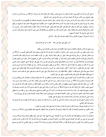ثم على كل جارحة أدب تختص هي به قال الله تعالى (إن السمع والبصر والفؤاد كل أولئك كان عنه مسئولا) (آية 36 من سورة الإســـراء) قـــال بعض المشايخ حسن الأدب مع الله ألا تتحرك جارحة من جوارحك في غير رضاء الله تعالي. فأدب اللسان أن يكون رطبا بذكر الله عز وجل أبدا وبذكر الإخوان بالخير والدعاء لهم وبذل النصيحة والوعظ ولا يكلمهــم بمــا يكرهـــون ولا يغتاب ولا ينم ولا يشتم ولا يخوض فيما لا يعنيه وإذا كان في جماعة تكلم معهم ما داموا يتكلمون فيما يعنيهم فإذا أخذوا فيما لا يعنيهم تسركهم وأمسك. ويتكلم في كل مكان بما يوافق الحال فقد قيل: لكل مقام مقال وقيل: خلق الله اللسان ترجماناً للقلب ومفتاحاً للخير والشر. وقيـــل: إذا طلبت صلاح قلبك فاستعن عليه بحفظ لسانك. ويلزم الصمت فإنه ستر للجاهل وزين للعاقل قال النبي صلى الله عليه وسلم ((وهل يكب النساس في النار على مناخرهم إلا حصائد ألسنتهم)). وآداب السمع ألا يسمع إلى الفحش والخنا والغيبة والنميمة وكل منكر . كما قيل:

أحب الفتي ينفي الفواحش سمعه كأن به عن كل فاحشة وقرا

بل يستمع إلى الذكر والوعظ والحكمة وما يعود عليه بالفائدة دنيا ودنيا ويحسن الإصغاء إلى من يكلمه.

وأدب البصر الغض عن المحارم وعن عيوب الناس والإخوان والمنكرات والمحرمات لأن الله يقول (ربعلم خائنة الأعين تخفي الصدور)) (آية 19 من سورة غافر) وقد قيل: من طاوع طرفه تابع حتفه. وقيل: من غض طرفه تم ظرفه. وقيل: من كثرت لحظاته دامت حسراته ويكون نظره بالاعتبـــار والاستدلال على قدرة الله تعالى وعظمته وجميل صنعه عارياً من حظوظ النفس الأمارة بالسوء حكى عن بعضهم أنه قال: نظرت إلى شخص نظـــرة شهوة فرأيت في المنام قائلًا يقول لي: الدنيا دارى والخلائق فيها عبيدي وإمائي فمن نظر إلى واحد منهم بغير حق فقد خانني. فانتبهت وأليت علـــي نفسي أن لا أنظر إلى شخص بعد ذلك إلا على حد الأمانة. وحكا عن أبي يعقوب النهرجوري أنه قال: رأيت في الطواف إنساناً بفرد عـــين وهــــو يقول: أعوذ بك منك فقلت: ما هذا الدعاء ؟ فقال: اعلم أنى مجاور منذ خمسين سنة فرأيت يوماً شخصاً فاستحسنته فإذا لطمة وقعت على عـــيني فسالت عيني هناك على خدي فقلت: أه فقيل: لحظة بلطمة ولو زدت لزدناك.وقال النبي صلى الله عليه وسلم لعلى صلى الله عليه وسلم: ((إيساك أن تتبع النظرة النظرة فأن الأولى لك والثانية عليك)).(المغني عن حمل الأسفار).

وأدب القلب مراعاة الأحوال السنية المحمودة ونفي الخواطر الردية المذمومة والتفكير في آلاء الله ونعمائه وعجائب خلقه قال الله ((ويتفكـــرون في خلق السموات والأرض))(آية 191 من سورة آل عمران) وقال رسول الله صلى الله عليه وسلم ((تفكر ساعة خير من عبادة سنة)) ومـــن أدب القلب حسن الظن بالله تعالى وبجميع المسلمين وتطهيره من الغل والغش والحسد والخيانة وسوء العقيدة فأنما من جنايات القلب قال الله تعــالى ((إن السمع والبصر والفؤاد كل أولئك كان عنه مسئولا)(آية 36 من سورة الإسراء) وقال النبي صلى الله عليه وسلم ((ألا إن في الجســـد مضـــغه إذا صلحت صلح بصلاحها سائر الجسد وإذا فسدت فسد بفسادها سائر الجسد ألا وهي القلب))(صحيح مسلم) وقال سري بن المغلـــس الســـقطي القلوب ثلاثة، قلب كالجبل لا يحركه شيء وقلب كالنخلة أصلها ثابت والريح تميل بما يمينا وشمالا وقلب كالريشة يذهب مع كل ريح لولا يثبت. وأدب اليدين البسط بالبر والإحسان وخدمة الإخوان وألا يستعين بما على معصية.

وأدب الرجلين السعي بمما في صلاح نفسه وإخوانه وألا يمشى في الأرض مرحا ولا يختال ولا يتبختر ولا يزهو إنها مما تبغضــه إلى الله تعـــالى ولا يستعين بهما على المعاصي.

ثم إن أول الصحبة معرفة ثم مودة ثم ألفه ثم عشرة ثم محبة ثم صحبة ثم أخوة وقيل غذاء النفوس في العشرة. وغذاء القلوب في الصحبة والصحبة لا تكون إلا باتفاق البواطن قال الله تعالى في صفة المنافقين (تحسبهم جميعا وقلوبمم شتى).(آية 14 من ســـورة الحشر )

والصحبة إذا صحت شرائطها فإنها أجل الأحوال ألا تري أن الصحابة رضي الله عنهم كانوا أجل الناس علما وفقها وعبادة وزهدا وتوكلا ورضـــا فلم ينسبوا إلى شيء من ذلك غير الصحبة التي هي أعلاها ومن آدابهم ألا يجري في حديثهم هذا لي وهذا لك ولو كان كذا لم يكـــن كـــذا ولعـــل وعسي ولم فعلت ولم لا تفعل وما يجري مجراها فإنها من أخلاق العوام قال إبراهيم ابن شيبان كنا لا نصحب من يقول فعلـــي ولا تجـــري بينــــهم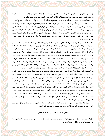الإعارة والاستعارة وقال بعضهم الصوفي سلا يعير ولا يستعير ولا تجري بينهم المخاصمة ولا المجادلة ولا الازدراء ولا المزاحمسة والمغالبسة والغيبسة والوقيعة والنقيصة والاستهزاء بل يكون كل أحسد منهم للكبير كالولد وللنظير كالأخ وللصغير كالوالد وللأستاذين كالملوك.

ومن آدابهم أذا اجتمعوا أن يقدموا احدهم ليكون مرجعهم إليه واعتمادهم عليه ويكون أرجحهم عقلا ثم أعلاهم همة ثم أعلاهم حالا ثم أعلمهـــم بالمذهب ثم أسنهم قال رسول الله صلى الله عليه وسلم (ليؤم القوم أقرؤهم لكتاب الله فإن استووا فأفقههم في الدين فإن استووا فأشـــرفهم فـــإن ساووا فأستهم فإن استووا فأقدمهم هجرة) وكان صلى الله عليه وسلم يقدم أهل بدر على غيرهم روي أنه كان جالسا في صفة ضيقة فجاء قسوم من البدريين فلم يجدوا موضعا يجلسون فيه فأقام النبي صلى الله عليه وسلم من لم يكن من أهل بدر من ذلك المجلس فجلسوا مكانمم فاشتد علـــيهم فأنزل الله تعالى (وإذا قيل انشزوا فانشزوا) (آية 11 من سورة الجادلة) ثم أحسنهم خلقا ثم أقدمهم هجرة ثم أتمهم أدبا ثم أسبقهم بلقـــاء المشـــايخ حكي أن علي بن بندار الصيرفي ورد علي أبي عبد الله بن خفيف زائرا له من نيسابور فتماشيا فقال له أبو عبد الله تقدم فقال بأي عــــذر ؟ قــــال: بأنك لقيت الجنيد وما لقيته.

ويخدمهم أصدقهم نية وشفقة وأحلمهم وأقواهم قلبا وأكثرهم ديانة وأمانة وصيانة وأقلهم اهتماما بنفسه وذويه، فالخدمسة الدرجسة الثانيسة مسن الشيخوخة كما ورد في ا لخبر عن رسول الله صلى الله عليه وسلم أنه قال ((سيد القوم خادمهم)) وقيل إذا صحبت إنسانا فانظر عقله أكثـــر ممـــا تنظر دينه فإن دينه له وعقله له ولك ولا تصحب من كل أكثر همه الدنيا والنفس والهوى قال الله تعالى (فأعرض عن من تولى عن ذكرنا ولم يسرد إلا الحياة الدنيا) (آية 29 من سورة النجم) (ولا تطع من أغفلنا قلبه عن ذكرنا واتبع هواه) (آية 28 من سورة الكهف) ولا يذكر عيوب النـــاس فقد قيل من ذكر عيوب الناس شهد على نفسه فإنما يذكر مقدار ما فيه منها. سئل أبو عثمان الحيرى عن الصحبة فقال: توسع على أخيـــك مـــن مالك ولا تطمع في ماله وتنصفه من نفسك ولا تطلب الإنصاف منه وتكون تبعا له ولا تطلب أن يكون تبعا له وتستكثر ما اليك منه وتستقل مسا منك إليه قال محمد بن داود الدقي قلت للزقاق من أحتجب ؟ فقال: من يعلم منك مثل ما يعلم الله ثم تأمنه على ذلك وقال بعضهم ما أوقعـــني في البلاء إلا صحبة من لا أحتشمه. وقيل ليس في اجتماع الإخوان أنس لوحشة الفراق وقيل الشرف في ثلاث إجلال الكبير، ومداراة النظير ورفسع النفس عن الحقير وقيل الجلساء ثلاثة جليس تستفيد منه فلازمه وجليس تفيده فأكرمه وجليس لا تستفيد منه ولا تفيده فاهرب منه.

ومن آدابهم ترك التيه والصولة قال أبو على الروذباري: الصولة على من فوقك قحة وعلى من هو مثلك سوء أدب وعلى من دونك عجز . وقسال بعضهم: من ولى ولاية فتاه فيها أخبر أن قدره دوهًا. ومن تواضع فيها أخبر أن قدره فوقها. وقيل: إن عجب المرء بنفسه حد فساد عقله قـــال الله تعالى ((تلك الدار الآخرة نجعلها للذين لا يريدون علوا في الأرض ولا فسادا)) (آية 83 من سورة القصص). وليحذر التأدب أن يحقر أحداً مـــن المسلمين فقد روى عن النبي صلى الله عليه وسلم أنه قال: ((حسب امرىء من الشر أن يحقر أخاه المسلم)) (رواه مسلم). وقال صلى الله عليـــه وسلم ((من استذل مؤمناً أو مؤمنة أو حقره لفقره وقلة ذات يده شهره الله يوم القيامة ثم يفضحه)). وقال بعضهم: من رضي به الله عبداً فارض به أخًا. وإذا نزل به أحد من إخوانه أو جماعة قدم إليهم ما حضره من الطعام والشراب قل كثر ألا ترى أن إبراهيم صلى الله عليه وسلم لمسا دخسل عليه ضيفه المكرمون ما لبث أن جاء بعجل حنيذ فقربه. روى عن أبي البختري أنه قال نزلنا على سلمان بالمدائن فقرب إلينا خبزاً وسمكـــا وقـــال: كلوا فمانا رسول الله صلى الله عليه وسلم عن التكلف ولولا ذلك لتكلفت لكم رالمستدرك على الصحيحين). ولما ورد أبو حفص علـــى الجنيــــد تكلف في خدمته فأنكر عليه وقال: لو دخلت خراسان علمناك الفتوة. فقيل له في ذلك فقال: صير أصحابي مجانين يقسدم إلــيهم ألـــوان الطعــــام واللباس والطيب كل يوم وإنما الفتوة عندنا ترك التكلف وإحضار ما حضر.

ثم إذا حضرك الفقراء فاخدمهم بلا تكلف حتى إذا جعت جاعوا وإذا شبعت شبعوا حتى يكون مقامهم وخروجهم عندك سواء. قال يوسف بسن الحسين: قلت لذي النون: من أصحب ؟ قال: من إذا مرضت عادك وإذا أذنبت تاب لك. وأنشد:

إذا مرضنا أتيناكم نعودكم وتذنبون فنأتيكم فنعتذر

وقيل: ليس بصاحب من تقول له قم. فيقول: إلى أين. ويجتنب البذاء فإنه يهيج البغضاء قال الله عز وجل ((قد بدت البغضاء من أفسواههم ومسا تخفي صدورهم أكبر)) (آية 118 من سورة آل عمران).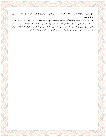وقال بعضهم: الناس ثلاثة أصناف: صنف كالغذاء لا يستغني عنهم وصف كالدواء يحتاج إليهم في الأحايين وصنف كالداء يجب الاحتمــاء منـــهم ومما يقرب منهم.

ويجتنب صحبة الأشرار فقد قيل: مصاحبة الأشرار خطر ومن صاحبهم فقد بالغ في الغرر وإنما مثله كمثل راكب البحر إن سلم ببدنه من التلف لم يسلم بقلبه من الحذر. وقيل: من أكمل السعادة والرشاد صيانة الحر نفسه عن الأوغاد وقيل: من يصحب صاحب سوء لم يســلم ومــن يــدخل مدخل سوء يتهم. وقيل كل واحد يعرف بقرنائه وينسب إلى خلطائه. وروى أنه وقف النبي صلى الله عليه وسلم على قوم فقـــال ((ألا أخــــبركم بخيركم من شركم ؟ خيركم من يرجى خيره ويؤمن شره وشركم من لا يرجى خيره ولا يؤمن شره))(الجامع الصغير).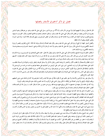# فصل: في ذكر آداهِم في الأسفار وفضلها

يضربون في الأرض يبتغون من فضل الله)) وقال النبي صلى الله عليه وسلم: ((سافروا تصحوا وتغنموا))(الجامع الصغير)) وقال: الغريـــب شــــهيد ويفسح للغريب في قبره كبعده عن أهله)) (رواه الإمام احمد في مسنده) وقال أبو حفص النيسابوري: ينبغي للمسافر ثلاثة أشياء: ترك تدبير الـــزاد وتقدير الطرق ويعلم أن الله حافظه.

وأفضل السفر الجهاد ثم الحج ثم زيارة قبر النبي صلى الله عليه وسلم. وقال عليه الصلاة والسلام ((وفد الله ثلاثة: الحاج والغازي والمعتمر ثم زيارة المسجد الأقصى))(رواه النسائي) قال رسول الله صلى الله عليه وسلم ((لا تشد الرحال إلا إلى ثلاثة مواضع: المسجد الحسرام ومســــجدي هــــذا والمسجد الأقصى)) (رواه الإمام احمد).

ثم لطلب العلم ثم لزيارة المشايخ والإخوان قال النبي صلى الله عليه وسلم ((يقول الله تعالى: حقت محبتي للمتحابين في المتـــزاورين)) (رواه الإمــــام احمد) وفى الحديث عن أبى رزين قال: قال رسول الله صلى الله عليه وسلم ((زر في الله فإن من زار في الله شيعه سبعون ألف ملك يقولون: اللــــهم صله كما وصله فيك وناداه مناد أن طبت وطاب ممشاك وتبوأت من الجنة مقعدا))(حلية الأولياء).

ثم لرد المظالم والاستحلال ثم لطلب الآثار والاعتبار ثم لرياضة النفس وحمول الذكر ولا يسافر للنزهة والبطر والرياء والجولان في الـــبلاد لطلـــب الدنيا على متابعة الهوى قال أبو تراب النخشبي: ليس شيء أضر على المريدين من أسفارهم على متابعة هواهم وما فسد من فسد من المريــــدين إلا بالأسفار الباطلة قال الله تعالى ((ولا تكونوا كالذين خرجوا من ديارهم بطرا ورئاء الناس))(آية 47 من سورة الأنفال) وقال النبي صلى الله عليـــه وسلم ((يأتي على الناس زمان يحج أغنياء أمتي للنزهة وأوساطهم للتجارة وقراؤهم للرياء وفقراؤهم للمسألة)) وقال عمر رضـــي الله عنــــه: ألا إن الوفد كثير والحاج قليل.

ولا يسافر بغير رضا الوالدين والأستاذ ولا بغير إذنهم حتى لا يكون عاقًا في سفره فلا يجد بركات أسفارهم وإذا كان في جماعة مشي مشي أضعفهم ووقف لوقوف الرفيق ولا يؤخر الصلاة عن أوقاقا ما أمكن ويؤثر المشي على الركوب إلا عند الضرورة فإن سفره للرياضة وطلب الزيارة

وإذا كان في جماعه بذل جهده في خدمتهم ما أمكن ويرفع عنهم مؤونته فقد روي عن عدي بن حاتم أنه يقال: قلت: يا رسول الله أي الصــــدقات أفضل ؟ فقال عليه الصلاة والسلام ((خدمة الرجل أصحابة في سبيل الله)).

ومن آدابهم إذا دخل بلدا فإن كان فيه شيخ قصد زيارته إن لم يكن يقصد موضع الفقراء، وإن كان فيها مواضع قصد أقسدمها وأكثرهـــا جمعـــا وأعظمها حرمة ويتفقد موضع الطهارة خصوصا، والمياه الجارية فيه فيؤثر النزول عليها دون غيرها، وإن لم يكن لهم موضع ولا جمسع نسزل علسي أكثرهم محبة لهذه الطائفة وأكثرهم إيمانا بمم وميلا إليهم وإذا دخل دويرة تنحي ناحية ونزع خفية يبدأ باليسرى في النزع وباليمني في اللبس يفقـــد قال النبي صلى الله عليه وسلم ((إذا انتعل أحدكم فليبدأ باليمني وإذا نزع فليبدأ باليسار))(رواه مسلم في صحيحه) ثم يقصـــد موضـــع الطهــــارة ويتوضأ ثم يصلي ركعتين وإن كان هناك شيخ مقصود قصده وزارة وقبل رأسه إلا أن يكون حدثا فيقبل يده روي عن كعب بن مالك أنه قال: لمسا نزلت توبتي أتيت النبي صلى الله عليه وسلم فقبلت يده وحكي أن أبا عبد الله بن خفيف قبل يد الحسين بن منصور وهو في الحبس فقال لو كانـــت اليد يدنا لمنعناك ولكن اليد يد تبوسها اليوم وتقطع غدا.

ثم يجلس عند الشيخ ساعة ولا يتكلم إلا أن يسأله عنت شيء فيجيبه عن سؤاله ولا يبلغه سلاما ولا يذكر أحدا إلا أن يكون نظيرا له في الحـــال أو ا لسن فيجوز ذلك ثم يرجع إلى موضعه وعلي المقيمين أن يسلموا عليه فحق القادم أن يزار إلا أن يكون بمكة فإن عليه زيارة المجاورين لحرمة الحرم ثم يقدم إليه ما حضر من الطعام من غير تكلف فقد قيل:" الأدب مع الضيف أن يبدأ بالسلام ثم بالإكرام ثم بالطعام، ثم بالكلام، كصنع إبـــراهيم الخليل عليه الصلاة والسلام مع ضيفة الكرام قال تعالى (ولقد جاءت رسلنا إبراهيم بالبشرى قالوا سلاما قال سلام فما لبث أن جاء بعجل حنيذ)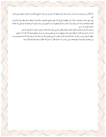(آية 69 من سورة هود) ولا يسأل عن أحوال وأخبار الدنيا وأهلها مما لا يعنيه بل عن أحوال المشايخ والأصحاب والإخوان المتعاونين على أعمال الحير .

ويجب على المسافر استصحاب ركوة أو كوز للطهارة أولي قيل كان بعض المشايخ والأصحاب والإخوان إذا صافحه المسافر تفقد حمل الركسوة في يكفه وأصابعه فإن وجده أحسن قبوله وإلا ازداده ورده وقال بعضهم أذا رأيت الصوفي وليس معه ركوة ولا كوز فاعلم أنه عزم على ترك الصلاة وكشف العورة شاء أو أبي.

ويستحب للمسافر استصحاب العصا والإبرة والخيط والمقص والموسي ونحوها، فإن ذلك مما يستعين به على أداء الفرائض كما يجب. وإذا أراد السفر فمن الأدب أن يطوف على إخوانه ويعرفهم خروجه ويودعهم ويستحب لمن هو في صحبتهم تشييعه كذا كان دأب المشايخ. ويجتهد ألا يفوته شيء من الأوراد وخاصة الواجبات قال أبو يعقوب السوسي يحتاج المسافر إلى أربعة أشياء في سفره وإلا فلا يسافر عليم يسوســـه وورع يحجزه وخلق يصونه ويقين يجمله وسئل رويم عن أدب المسافر فقال، لا تسبق همته خطوته وحيثما وقف قلبه يكون منزله.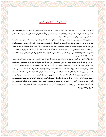قال الله تعالى (وثيابك فطهر) (آية 4 من سورة المدثر) قال بعض المفسرين أي فقصر روي أبو هريرة رضي الله عنه عن النبي صلى الله عليه وســــلم أنه قال ((إن الله يحب كل متبذل لا يبالي ما لبس)) (الجامع الصغير) وكان عمر رضي الله عنه يقطع من كمه ما جاوز الأصابع وقال بعضهم الفقير الصادق أي شيء لبس يحسن عليه ويكون له فيه الملاحة والمهابة.

ومن آدابهم في ذلك أن يكونوا مع الوقت يلبسون ما يجدون من غير تكلف ولا اختيار ويقتصرون على ما يؤدون به الفرض من ستر العورة ومـــا يدفع القر والحر فهي ما استثني النبي صلى الله عليه وسلم من الدنيا وقال: إنما ليست من الدنيا ويتبرمون بكثرة اللباس ويواسون بالفضــــل، قـــال النبي صلى الله عليه وسلم <sub>((</sub>ثلاثة يدخلون الجنة بغير حساب رجل غسل ثوبه فلم يجد خلفا، ورجل لم ينصب له على مستوقدة قدران ورجل دعـــا بشراب فلم يقل له أيها تريد))(الجامع الصغير) وعن عائشة رضي الله عنها ألها قالت: ما أعد رسول الله صلى الله عليه وسلم من شيء زوجين. ويجتهدون في النظافة والظرافة قال النبي صلى الله عليه وسلم((النظافة من الإيمان)) (أحياء علوم الدين) ورأى على بعض الوفود ثوبا وسخا فقـــال:

ما كان هذا يجد ماء يغسل به ثوبه)).

ويكرهون لبس الشهرة من الثياب ويتبركون بثياب المشايخ روي أن رسول الله صلى الله عليه وسلم دخل بعض بيوته مع أصحابه فسامتلأ البيست وجاء جرير بن عبد الله البجلي فلم يجد موضعا وقعد خارج البيت فأبصره النبي صلى اله عليه وسلم فأخذ جرير الثوب ووضعه على وجهه وقبلـــه واختار بعضهم الاقتصار على خرقتين كهيئة المحرم وكره الجمهور منهم ذلك إلا للمحرم أو بمكة لما فيه من الشهرة وإظهار الزيادة على الأقران. ويكره لبس الفرجية أيضا إلا للمشايخ فإنه بمنزلة الطيلسان والسجادة والقلانس للمشايخ والبرانس للمريدين ويستحب الاقتصــار علــي ثــوب واحد حكي الجريري قال: كان ببغداد فقير لا نكاد نجده إلا في ثوب واحد شتاء وصيفا فسئل عن ذلك فقال: كنت مولعا بكثرة الثياب فرأيت في المنام كأني دخلت الجنة فرأيت جماعة من أصحابنا على مائدة فقصدقم فحال بيني وبينهم ملائكة وقالوا هؤلاء أصحاب ثوب واحد ولك أثـــواب، فانتبهت ونذرت أل ألبس إلا ثوبا واحدا إلى أن ألقى الله تعالى. وقيل للجنيد: قد كثرت المرقعات فقال آن طلاب السلوك يسرونكم بأبصــــارهم وأنتم في السير مع الله تعالى. وكان أبو حاتم العطار إذا رأى أصحاب المرقعات يقول: يا سادتي نشرتم أعلامكم وضربتم طبولكم فليت شـــعري في اللقاء أي رجال تكونون وقال على بن بندار ثوب استجيز فيه الصلاة أكره أن أبدله للقاء الناس بخير منه وقال أبو حفص الحداد إذا رأيت ضـــوء الفقير في ثوبه فلا ترج خيره.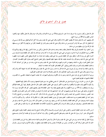# فصل: في ذكر آداهِم في الأكل

قال الله تعالى (وكلوا واشربوا ولا تسرفوا إنه لا يحب المسرفين)(اية31 من سورة الأعراف) والإسراف حرام وقال الله تعالى (فكلوا منها وأطعموا البائس الفقير))(آية 28 من سورة الحج).

قال بعضهم: أدب الله تعالى عباده ألا يطعموا الفقير إلا مما يأكلون وقال النبي صلى الله عليه وسلم ((إذا أكل أحدكم فليقل بسم الله فإن نســــى في أوله فليقل إذا ذكر بسم الله أوله وآخره)(سنن ابن ماجة) وقال صلى الله عليه وسلم وأشار إلى القصعة (كلوا من حواليها ولا تأكلوا من وســـطها فإن البركة تنزل في وسطها)(سنن ابن ماجة).

ومن آدابمم: ترك الاهتمام بالرزق وقلة الاشتغال بطلبه وجمعه ومنعه وادخاره قال الله تعالى (وكأين من دابة لا تحمل رزقها الله يرزقها وإياكم)(آية 60 من سورة العنكبوت) أي لا تدخروا وصح عن النبي صلى الله عليه وسلم انه ما كان يدخر شيئا لغد ولا يكثر ذكر الطعام فسإن ذلسك مسن الشره حكي عن رويم أنه قال: لم يخطر ببالي ذكر الطعام عشرين سنة حتى يحضر ويقصد عند تناوله سد الجوعة ويعطي النفس حقهــــا دون حظهــــا فإن النبي صلى الله عليه وسلم قال ((إن لنفسك عليك حقا فإن منعتها حقها ظلمتها)) وقيل لبعض المشايخ كيف يتناول القوم الطعـــام ؟ فقــــال: تناول العليل للدواء يرتجي به الشفاء ويمنعها من الشره والنهم مراعيا لقوله صلى الله عليه وسلم ((ما مليء وعاء شر من بطن أبن آدم فإن كان لا بد فثلث للطعام وثلث للشراب وثلث للنفس))وقيل: أكل الطعام لغير القوام كان انتفاعه به السقام.

ولا يعيب طعاما ولا يمدحه روى أبو هريرة رضي الله عنه قال (ما عاب رسول الله صلى الله عليه وسلم طعاما قط كان إذا اشتهاه أكله وإلا تركه) (رواه مسلم) وقال صلى الله عليه وسلم ((أذيبوا طعامكم بذكر الله تعالى والصلاة ولا تناموا عليه فتقسوا قلوبكم)).

وروي أن الله تعالى أوحى إلى داود صلى الله عليه وسلم (ما بال الأقوياء ومبادرقم الشهوات، إنما جعلت الشهوات لضعفاء خلقـــي، إن القلـــوب المعلقة بالشهوات عقولهم محجوبة عني).

حكي أن بشر بن الحارث رئي في السوق فسئل عن ذلك فقال: أن نفسي تطالبني منذ سنين بخيارة فمنعتها ورضيت الآن بالنظر إليها فأعطيتها. ولا يكون لآكلهم وقت معلوم ولا يتكلفون ولا يختارون الكثير الرديء على القليل النظيف الطيب قال الله تعالى (فلينظر أيها أزكي طعاما فليأتكم برزق منه وليتلطف) (آية 19 من سورة الكهف) ولا يلقم بعضهم بعضا وإذا حضر الطعام فلا يقول بعضهم لبعض: كل فأن الكل فيه ســـواء إلا المشايخ لمن دوفمم على سبيل البسط لهم وترغيبهم في الخير عند احتشامهم هذا لهم خاصة وأما غيرهم من طبقات الناس فمن أدبمم عرض الطعسام عند الحضور واستدعاء الحاضرين إليه سمعت والدي رحمه الله يحكي عن الشيرواني رحمه الله أنه قال: كان عبد الله بن الصامت من المشايخ وكان لا يدعو أحدا إلى الطعام فحضرت يوما عنده فقلت: العلم يدعونا إلى عرض الطعام الإحضار فقال: إن الحكم إلا لله. فسكت. ولا يسأكلون إلا ممسا يعرفون أصله ويتنزهون عن أكل طعام الظلمة والفسقة وإن كان من وجهه روى عمران بن الحصين قال: نمانا رسول الله صلى الله عليه وسلم عن إجابة طعام الفاسقين. وينصرفون عن قبول إرفاق النسوان وأكل طعامهن ولا يكرهون الكلام عند الطعام فقد قيل: إن ترك ذلك من فعل المجوس.

ثم من الأدب عند تناول الطعام التشمير والجلوس على الرجل اليسرى والتسمية والأكل بثلاث أصابع ومما يليه وتصغير اللقمة وتجويد المضغ ولعق الأصابع قال جابر: أمرنا رسول الله صلى الله عليه وسلم بلعق الأصابع والقصاع. وقال ((إن أحدكم لا يدرى في أي طعامه البركـــة)) (صــــحيح

ويترك النظر إلى لقمة صاحبه روى عن النبي صلى الله عليه وسلم أنه قال ((لا يتبعن أحدكم بصره لقمة صاحبه بالنظر وإذا فرغ من الطعام قـــال: الحمد لله الذي جعل أرزاقنا أكثر من أقواتنا)). وليس من الظرافة أن يغمس يده في الطعام بحيث يتلطخ به. ويكره الأكل في اليوم مــــرتين. وقــــال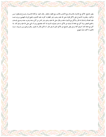بعض المشايخ: الأكل مع الإخوان بالانبساط ومع الأجانب بالأدب ومع الفقراء بالإيثار. وقال الجنيد: مؤاكلة الإخسوان رضساع فسانظروا مسن تؤاكلون. ويختارون الاجتماع على الأكل لقوله صلى الله عليه وسلم ((خير الطعام ما كثرت عليه الأيدي)) (مجمع الزوائد للهيثمي) وروى عنــــه عليه الصلاة والسلام أنه قال ((الأكل مع الإخوان شفاء)) وقال صلى الله عليه وسلم ((شر الناس من أكل وحده وضرب عبده ومنسع رفسده)) (الجامع الصغير) وإذا أكل مع جماعة لا يمسك عن الأكل ما داموا يتناولونه لاسيما إذا كان متقدمهم روى أن النبي صلى الله عليه وسلم كان. إذا أكل مع جماعة كان آخرهم أكلا وسئل بعض المشايخ عن الأكل الذي لا يضر قال: أن تأكل بالأمر لا بالهوى. وقال إبراهيم بسن شسيبان: منسذ ثلاثيين ما أكلت شيئاً بشهوتي.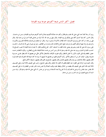فصل: أكثر الناس شبعا أكثرهم جوعا يوم القيامة

روى أن رجلا تجشأ عند النبي صلى الله عليه وسلم فقال ((كف عنا جشأك فأكثرهم شبعاً في الدنيا أكثرهم جوعاً يوم القيامة)) (سنن ابن ماجـــة). وقال الحسن: كان بلية آدم في أكلة وهي بليتكم إلى يوم القيامة. وقال سهل بن عبد الله: لأن أترك من عشائي لقمة أحب إلى من إحياء ليلة. وقال يحيى بن معاد: لو كان الجوع يباع في الأسواق لما كان لطلاب الآخرة أن يشتروا سواه. وقال: لو تشفعت إلى نفسك بالملائكة المقـــربين والأنبيـــاء والمرسلين في ترك شهوة لردقم أجمعين ولو توسلت إليها بالجوع لانقادت لك وصارت من الطائعين. وعن أبي هريرة رضي الله عنه قسال: دخلست على رسول الله صلى الله عليه وسلم وهو يصلى جالساً فقلت ما أصابك ؟ قال: الجو ع فبكيت فقال: لا تبك إن شدة القيامة لا تصب الجسائع إذا ١حتسب ذلك في الدنيا)) وروى عنه صلى الله عليه وسلم أنه قال ((من أحس من نفسه نشاطاً فليذها بالجوع والعطش)). ويكره الانتظــار عنــــد حضور الطعام وقد قيل: قلوب الأبرار لا تحمل الانتظار ويكره تفويت الأوقات بالاشتغال بالأكل حكي عن بعضهم أنه كان يفطر علـــي حســـوة يحسوها ويقول: الوقت أعز من أن يشتغل بالأكل. وكره أكثرهم تلقيم من يخدمهم مما أيديهم لا سيما إذا كان ضيفا فأنه التصرف فيما قدم إليــــه فقال بعضهم: يملكه بالإحضار بين يديه وقال بعضهم بالتناول وقال بعضهم: بالوضع في الفم وقال بعضهم: باستيفاء الأكل بالبلع.

وقال الجنيد:تنزل الرحمة على الفقراء عند الطعام فإنمم لا يأكلون إلا بالإيثار وقال بعض المشايخ: واجب على المضيف ثلاثة أشياء وعلى الضـــيف ثلاثة أشياء فأما الذي على المضيف فأن يطعمه من الحلال ويحفظ عليه مواقيت الصلاة ولا يحبس عنه ما قدر عليه من الطعام وأما ما على الضـــيف فأن يجلس حيث يجلس وأن يرضي بما قدم إليه وأن لا يخرج إلا بعد الاستئذان روى عن ابن عباس: أن النبي صلى الله عليه وسلم قال: ((إن مـــن السنة أن يشيع الضيف إلى باب الدار)) (سنن ابن ماجة).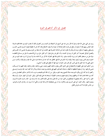# فصل: في ذكر آداهم في النوم

روى عن النبي صلى الله عليه وسلم أنه قال ((من نام حتى أصبح بال الشيطان في أذنيه)) ومن أدبمم في ذلك أن يجتنب النوم بين جماعة قعود فـــإذا غلبه النعاس بينهم فإما أن يقوم أو يدفع عن نفسه ذلك بمحادثة أو غيرها ولا يتعود الانبطاح فإن كان ممن له غطيط فيتعود النسوم علسى الجنسب وليستلقي ويجتهد أن يكون نومه لله وبالله ولا يكون نائماً عن الله فأما النائم لله فهو القاصد إلى أخذ بلغة من النوم يستعين بما علـــي أداء الفـــرائض وتحصيل النوافل خصوصاً آخر الليل لما روى في الحديث ((أن الحق عز وجل يقول آخر الليل: هل من داع فأستجيب له هل من ســـائل فأعطيـــه سؤله هل من مستغفر فأغفر له)) (رواه الإمام مسلم). وأما النائم بالله فهو العارف الذاكر من لا تأخذه سنة ولا نوم إلى أن يرد عليه النوم من غير ١ختياره وهم الذين يبيتون لربمم سجداً وقياما وأما النائم عن الله فهو الغافل عنه كما جاء في مناجاة داود صلى الله عليه وسلم قوله ((كذب مـــن ادعى محبتي إذا جنه الليل نام عني أليس كل محب يحب خلوات حبيبه فها أنا مطلع على قلوب أحبائي)).

ومن آدابهم النوم على الطهارة والاضطجاع على الشق الأيمن ويقول باسمك اللهم وضعت جنبي وباسمك ارفعه وباسمك ارفعه اللهم إن أمسكت نفسي فارحمها، وإن أرسلتها فاحفظها بما تحفظ به عبادك الصالحين اللهم قني عذابك يوم تبعث عبادك ويذكر الله كلما انتبه، فإن توضـــأ وصــــلي ركعتين ثم نام كان أولى ويكره النوم بعد صلاة الصبح وبعد المغرب وقيل: من أراد قلة النوم فليجتنب شرب الماء إلا قدر تسكين العطـــش ومـــن كان بين جماعة فناموا فإما أن يوافقهم وينام أو يقوم عنهم وتستحب القيلولة، ليستعان بما على قيام الليل، وقيل: النوم أول النهار خرق، وأوســـطه خلق، وآخره حمَّق. وكان بعضهم لا يضطجع من الليل حياء من الله تعالى ودام على ذلك ثلاثين سنة، إنما يستند إلى ا لجدار عنـــد غلبـــة النـــوم، ويصوم النهار. وقال الجنيد: أتى على السري نيف وثلاثون سنة ما رئي مضطجعا إلا في علة الموت وحكى أن أبا يزيد مد رجله في المحراب فنودي: من جالس الملوك بلا أدب تعرض للقتل.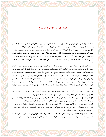# فصل: في ذكر آداهم في السماع

قال الله تعالى (وإذا سمعوا ما أنزل إلى الرسول تري أعينهم تفيض من الدمع مما عرفوا من الحق)(آية 83 من سورة المائدة) وقسال تعسالى (السذين يستمعون القول فيتبعون أحسنة)(آية 18 من سورة الزمر) وقال تعالى (فهم في روضة يحبرون)(آية 15 من سورة الروم) قال مجاهــــد: يســــمعون وقال النبي صلى الله عليه وسلم ((ما أذن الله لشيء كإذنه لنبي حسن الصوت بالذكر)) (صحيح مسلم). وروى أنه قرئ بين يديــــه: (فكيــــف إذا جننا من كل أمة بشهيد وجننا بك على هؤلاء شهيداً (آية 41 من سورة النساء)) فبكي طويلا. وروى عن عائشة رضي الله عنها ألها قالت: كـــان عندي جارية تسمعني فدخل رسول الله صلى الله عليه وسلم وهي على حالها ثم دخل أبو بكر وهي على حالها ثم دخل عمر ففرت فضحك رسول الله صلى الله عليه وسلم فقال ما يضحك يا رسول الله ؟ فحدثه فقال: لا أخرج حتى أسمع ما سمعه رسول الله صــــلي الله عليــــه وســــلم. فأمرهــــا فأسمعته.

وسئل ذو النون المصري عن السماع فقال: وارد حق يزعج القلوب إلى الحق فمن أصغى إليه بحق تحقيق ومن أصغى إليه بسنفس تزنسدق. وقسال السري: تطرب قلوب المحبين عند السماع وتخاف قلوب التائقين وتلتهب قلوب المشتاقين وقيل: مثل السماع مثل الغيث إذا وقسع علسى الأرض تصبح مخضرة كذلك القلوب الزكية يظهر مكنون فوائدها عند السماع. وقيل: السماع يحرك ما تنطوي عليه القلـــوب مـــن الســــرور والحــــزن والخوف والرجاء والشوق فربما يحركه إلى البكاء وربما يحركه إلى الطرب. وقيل السماع فيه حظ لكل عضو فربما يبكي وربما يصرخ وربما يصـــفق وربما يرقص وربما يغمي عليه. وقيل أهل السماع ثلاثة: مستمع بربه ومستمع بقلبه ومستمع بنفسه قال بعض المشايخ: لا يصح الســـماع إلا لمـــن فنيت حظوظه وبقيت حقوقه وخمدت بشريته. وحكا عن بعضهم قال رأيت الخضر عليه السلام فقلت: ما تقول في السماع الذي عليه أصـــحابنا ؟ فقال: هو الصفاء الذي لا يثبت عليه إلا أقدام العلماء. وقيل السماع مقدحة سلطانية لا تقع نيراها إلا فيمن قلبه محترق بالمجسة ونفسسه محترقسة بالمجاهد.

ومن آدابهم: أن لا يتكلفوا فيه ولا يكون لهم وقت معلوم لذلك ولا يسمعون للتطايب والتلهي ثم يسمعون ما كان داخـــلأ في أوصـــاف التــــائبين والخائفين والراجين وما يحثهم على المعاملة ويجدد لهم صدق الإرادة ومن لا يعلم ذلك فعليه أن يقصد من يؤدبه فيه.

وقيل للنصراباذي: إنك مولع بالسماع. فقال: نعم هو خير من أن تقعد وتغتاب فقال له أبو عمرو بن نجيد: هيهات يا أبا القاسم زلة في الســـماع شر من كذا وكذا سنة تغتاب الناس وقال أبو على الروذباري: بلغنا في هذا الأمر إلى مكان مثل حد السيف إن ملنا ففي النار .

وليس من الأدب استدعاء الحال والتكلف للقيام إلا عن غلبة حال ترد فتزعج أو يكون على سبيل مساعدة لصادق أو مطايبة من غير تساكر ولا إظهار حال. وترك ذلك أولى روى عن النبي صلى الله عليه وسلم أنه كان يعظ فصعق رجل من جانب المسجد فقال: من ذا الملبس علينا ديننـــا ؟ إن كان صادقاً فقد شهر نفسه وإن كان كاذباً محقه الله.

ويكره للشبان القيام بحضرة المشايخ وإظهار الحال حكي أن شاباً كان يصحب الجنيد وكلما سمع شيئا زعق وتغير فقال له ظهر منك شيء بعد هذا فلا تصحبني فكان بعد ذلك يضبط نفسه وربما كان يقطر منه من كل شعرة قطرة عرق حتى كان يوماً من الأيام زعق زعقة خرجت فيها روحه.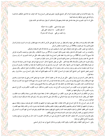ولا رخصة للأحداث في القيام والتحرك أصلا وأكثر المشايخ يكرهون حضورهم مجلس السماع وإذا كان الوقت جدا فلا يجوز للتكلف المداخلـــة والمزاحمة على طريق الموافقة والمساعدة أيضاً. حكي أن ذا النون المصري دخل بغداد فدخل عليه جماعة ومعهم قوال فاستأذنوا أن يقول شيئا فأدن لهم. فأنشد يقول: صغیر هواك عذبني فكيف به إذا احتنكا

أما تنظر لمكتئب إذا ضحك الخلي بكي وإن جمعت من قلبي ہموی قد کان مشترکا

فطاب قلبه وقام وتواجد وسقط على جبهته والدم يقطر من جبينه ولا يقع على الأرض ثم قام واحد منهم فنظــر إليـــه ذو النـــون وقـــال قـــال تعالى((الذي يراك حين تقوم)) (اية218 من سورة الشعراء) فجلس الرجل.

والسكون مع حضور القلب وجمع الهمة والوقوف على أحوال المستعلمين أولى من المداخلة لأنه محل الاستقامة والتمكين.

والإنصات من أدب الحضرة قال الله تعالى ((فلما حضروه قالوا أنصتوا)) (آية 29 من سورة الأحقاف). وقال تعالى ((وخشعت الأصوات للرحمن فلا تسمع إلا همسا)) (آية 108 من سورة طه) وإذا انعقد مجلس السماع يبدأ بالقران ويختم به فقد حكي عن ممشاد الدينوري: أنه رأى رســـول الله صلى الله عليه وسلم في المنام فسأله عن اجتماع القوم للسماع. فقال لا بأس ابدءوا بالقرآن واختموا به.

ويكره للمريد سماع الغزل والأوصاف فألها بعيدة الغور. حكى عن بعض المشايخ أنه قال: السماع شهوة في قعر شبهه لا يحسن تناولها إلا عسارف ذو بصيرة وفطنة يختلس الشهوة ولا يمس الشبهة. وقال الجنيد: كل مريد رأيته يميل إلى السماع فاعلم أن فيه بقية من البطالـــة. وقيــــل:الســــماع صراط ممدود يقصده صاحب يقين ووجود وصاحب شك وجحود إما أن يرفع سالكه إلى أعلى عليين أو يكبكبه في أسفل السافلين. وقال بعــض المريدين لبعض المشايخ: أليس المشايخ كانوا يميلون إلى السماع ؟ فقال: إذا كنت مثلهم فاسمع أنت أيضاً. وقيل: السماع سرور ساعة تزول. وهم ساعة قئول.

ولا يحضر مجلس السماع من يتبسم أو يتلهى. حكي عن أبي عبد الله بن خفيف أنه قال: حضرت مع شيخي أحمد بن يحيى في دعوة بشيراز واتفـــق فيها سماع فطاب وقت الشيخ ويقام يتواجد ويدور وكان في صفة بحدائنا قوم من أبناء الدنيا، فتبسم واحد منهم فأخذ الشيخ منارة كانست هنساك فرماه بما فأصاب الجدار فانغرست أرجلها الثلاث في الحائط وقد كان صلى ثلاثين سنة صلاة الصبح بوضوء العشاء.

سئل بعض المشايخ عن شرب القلوب من السماع وشرب الأرواح منه، وشرب النفوس منه فقال: شرب القلوب الحكم وشرب الأرواح السنعم وشرب النفوس ذكر ما يوافق طبعها من الحظوظ.

وسئل عن التكلف في السماع فقال هو على ضربين: تكلف من المستمع لطلب الجاه أو منفعة دنيوية وذلك تلبيس وخيانة وتكلف منسه لطلسب الحقيقة كمن يطلب الوجد بمنزلة التواجد وهو بمنزلة التباكي من البكاء قال صلى الله عليه وسلم ((أذا رأيتم أهل البلاء فسابكوا فسإن لم تبكسوا فتباكوا)) (سنن ابن ماجة)

قال أبو نصر السراج رحمه الله أهل السماع على ثلاث طبقات: طبقة منهم يرجعون في سماعهم إلى مخاطبات الحق لهم فيما يسمعون وطبقة منــــهم يرجعون في سماعهم إلى مخاطبة أحوالهم ومقامتهم وأوقاقم فهم مرتبطون بالعلم ومطالبون بالصدق فيما يشيرون إليه من ذلك وطبقة منهم الفقــراء المجردون الذين قطعوا العلائق ولم تتلوث قلوبهم بمحبه الدنيا والجمع والمنع فهم يسمعون بطيبة قلوبمم ويليق بمم السماع، فهم أقـــرب النــــاس إلي السلامة وأسلمهم من الفتنه وكل قلب ملوث يحب الدنيا فسماعه سماع طبع وتكلف.

وقيل يحتاج إلى السماع من كان ضعيف الحال فإن القوي لا يحتاج إلى شيء من ذلك قال الحصري ما أدون حال من يحتاج إلى مسزعج يزعجسه ولعمري لا تحتاج الثكلبي إلى نائحة.

وقيل: ١ لسماع لقوم كالغذاء ولقوم كالدواء ولقوم كالداء ولقوم مروحة قال الشيخ أبو عبد الرحمن السلمي.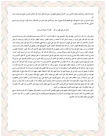الوجد قد يكون زيادة لقوم ونقصانا لآخرين وهو كالسلاح يصلح للجهاد في سبيل الله ولقتل أولياء الله وكذلك الشمس تصلح شيئا وتفسد شيئا أخر . وقيل السماع من حيث المستمع فقد سمع بعضهم طوافا يصيح يا سعتر بري فأغمى عليه فسئل عن ذلك فقال حسبته يقول اسع تري بري وسمـــع الشبلي رحمة الله منشدا ينشد ويقول:

أسائل عن ليلي فهل من مخبر يكون له علم ها أين تنزل

فزعق وقال: ولا والله ما في الدارين عنها مخبر وقال الصبيحي يجب أن يكون الواجد – إذا كان وجده صحيحا محفوظا في حال وجسده لا يجسري عليه لسان الذم بحال وقيل الوجد سر صفات الباطن كما أن الطاعة سر صفات الظاهر، وصفات الظاهر الحركة والســكون وصـــفات البـــاطن الأحوال والأخلاق وأما حكم الخرق التي تقع في السماع فما كان منها على طريق مساعدة فهي للجماعة وما كان منها لقول قوال وإنشاد منشد فإن لم يكن هناك جماعة فإنما للقوال خاصة. وأن كان هناك جماعة فقد اختلفت أقاويل المشايخ فيها فذهب بعضهم ألى أنما للقوال لأنسه لمسا وجسد الفائدة في سره من جهته خلع عليه بدلا عما أتحفه به وذهب بعضهم إلى أها للجماعة والقوال فيها كأحدهم لآن بركة حضور الجماعة لا تقتصـــر على قول القوال وروي أن النبي صلى الله عليه وسلم قال يوم بدر: من أتي مكان كذا فله كذا، ومن قتل فله كذا، ومن أسر أســــيرا فلــــه كـــذا، فتسارع الشبان والفتيان وأقام الشيوخ والوجوه عند الرايات، فلما فتح الله على المسلمين طلبوا ما جعل لهم فقال الشيوخ: كنا ظهرا لكسم ورداء فلا تذهبوا بالغنائم دوننا فأنزل الله تعالى (يسألونك عن الأنفال قل الأنفال لله والرسول)) (الآية الأولى من سورة الأنفال) فقسمها النبي صــــلي الله عليه وسلم بينهم بالسوية ومنهم من قال: إن كان القوال من جملة القوم فهو كأحدهم وليس له استبداد بشيء منها وأن كان أجنبيا فما كان منسها لها قيمة يؤثر هو بما وما كان من خريقات الفقراء فهم أولي بما. ومنهم من قال: إن كان القوال أجيرا فليس له منها شيء وإن كان متبرعا فله مـــا صلى له منها: وإذا قلنا إنها لهم فحكمها ألهم لا يشتغلون بما ما داموا في السماع، فإذا أنقضي وقته جمعوها في السوط ثم إن كان هناك محـــب لهـــم فحكمه أن يفديها بما يوجب وقته عن غير معاوضة فيها ولا مناداة عليها، فإن ذلك استخفاف بحقها وحقهم ثم إن كان هناك شيخ له حكم فالحكم فيها إليه من تخريق وتبديل ورد على أصحابها وقال أهل الشام: الفقير أولى بخرقته، وأنكر الجمهور منهم ذلك ومنهم من قال: ما كان وقسع منسها على سبيل المساعدة أو مشوبا بالتكلف فالرد أولى، وأكثر المشايخ يكرهون طرح الخرقة على سبيل المساعدة لما فيه من التكلف المساين للحقيقـــة وأن لم يكن هناك شيخ له حكم يمضون فيه حكم الوقت ولا يؤخرون ذلك ويكرهون تخريق المرقعات إلا أن يكون تبركا وما كان منها من خسرق الفقراء فما كان يصلح منها للرقاع فتخريقه أولى لكن يصيب الكل نصيبا ولا يبقى البعض محروما ويفرق على الحاضرين دون الغيب لآن الغنيمسة لمن شهد الموقعة وإذا حضر معهم غيرهم فالمحبون منهم يعطون من الخرق.

وكيف يقسم ذلك ؟ اختلف المشايخ فيه فقال بعضهم يقسم عليهم بالتفاضل كقسمة المواريث والغنائم وقال بعضهم أن كان يقسم ذلــك شـــيخ يقسم بالتفاضل وأن كانوا يقسمونه فيما بينهم قسموه بالسوية وما لم يصلح فيها للرقاع فالإيثار بما أولي لمستحق من الفقراء وما كان ثياب المحسبين فالبيع أولى والإيثار للقوال بما دون التخريق.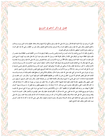# فصل: في ذكر آدابهم في التزويج

الأولى أن يرغب في المرأة الدينة الصالحة قال رسول الله صلى الله عليه وسلم ((تنكح المرأة لدينها ومالها وجمالها، فعليك بذات الدين تربت يــــداك)) (الجامع الصغير) وقال صلى الله عليه وسلم ((أعظم النساء بركة أيسرهن مؤنة))(الجامع الصغير) وقال عمر بن الخطاب رضي الله عنه خلق النساء من ضعف وعورة فداووا ضعفهن بالسكوت وعوراقم بالبيوت.

وآداهم في ذلك أن لا يتزوج للدنيا ولا بذات اليسار بل للسنة وللدين والنسب والعفة ثم يقوم بما لا بد من الكفاية بحسب الطاقة فسإن عجسز أو طلبت فوق الطاقة خيرها بين الوفاق على المكنة أو طلاق الفرقة اقتداء برسول الله عليه وسلم حيث أنزل الله تعالى عليه ريسا أيهسا السنبي قسل لأزواجك إن كنتن تردن الحياة الدنيا وزينتها) (الآية 28 من سورة الأحزاب) وكن تسعة فخيرهن رسول الله صلى الله عليه وسلم وبسدأ بعائشسة رضي الله عنها وقال له: إني محدثك بحديث فاستشيري فيه أبويك فلما أخبرها به قالت: أوفيك أستشير أبوي ؟ فاختـــارت الله ورســـوله والــــدار الآخرة وقالت: لا تخبر نساءك بمذا فقال والله لا يسألنني عن ذلك إلا خبرقم فلما أخبرهن اخترن الله ورسوله فشكرهن الله تعالى علـــى ذلـــك ثم أنزل (لا يحل لك النساء من بعد<sub>) (</sub>آية 52 من سورة الأحزاب<sub>)</sub> والأولى في زماننا مجانبة التزويج وقمع النفوس بالرياضة والجوع والسهر والسفر . روي أبو هريرة رضي الله عنه عن النبي عليه صلى الله عليه وسلم أنه قال ((عليكم بالنكاح فمن لم يستطع فعليه بالصوم فإنه له وجـــاء))(المســـند للإمام احمد) قيل لبعض الصالحين ألا تتزوج ؟ فقال لي نفس لو تمكنت من تطليقها لطلقتها فكيف أضم إليها أخري ؟ وقال بشر: لـــو دفعـــت إلى الاهتمام بمئونة دجاجة ما آمنت على نفسي أن أصبح شرطيا وقال مكابدة العفة أيسر من مصلحة العيال: وقال رأيت الصبر عنسهن أسسهل مسن الصبر عليهن وقال بعضهم: مقاساة العيال عقوبة تنفذ للشهوة الحلال وحكي أن رجلا خطب إلى ميمون بن مهران ابنه فقال: لا أرضاها لك قال: لم ؟ قال لألها طلبت الحلي والحلل فقال عندي ما هي تريد قال: أذا لا أرضاك لها. وأراد بعضهم تطليق زوجته فقيل له: ما يسوءك منسها ؟ قسال العاقل لا يهتك ستر زوجته فلما طلقها قيل له لم طلقتها ؟ قال: ما لي والكلام فيمن صارت أجنبية مني حراما على روي أن النبي صــــلى الله عليــــه وسلم لما هم بتزويج فاطمة رضي الله عنه لعلى رضي الله عنه قال له: تكلم لنفسك خطيبا وقد حضر المهاجرون والأنصار فقال: الحمـــد لله حمـــدا يبلغه ويرضيه وصلى الله على محمد صلاة تزلفه وتحصيه والنكاح مما أمر الله به ورضيه واجتماعنا مما أذن الله فيه وقدره وهذا محمد رسول الله صلى الله عليه وسلم زوجني ابنته فاطمة على صداق خمسمائة درهم وقد رضيت فسلوه واشهدوا وقال على رضى الله عنه ما كان لنا إلا إهاب كـــبش نبيت عليه بالليل ونعلف عليه الناضح بالنهار.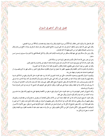### فصل: في ذكر آداهِم في السؤال

قال الله تعالى (لا يسألون الناس إلحاقا) (آية 273 من سورة البقرة) وقال (وأما بنعمة ربك فحدث) (آية 10 من سورة الضحى) وقال النبي صلى الله عليه وسلم ((أعطوا السائل ولو جاء على فرس)) (الجامع الصغير) وقال ((لو صدق السائل في سؤاله ما أفلح من رده)) وقال ((ما صاحب الصدقة بأعظم أجرا من الذي يقبلها أذا كان محتاجا)).

وقال ((من سأل مسألة وهو غني عنها فإنما يستكثر من النار)(المسند للإمام احمد) وقال ((لا تحل الصدقة لغني ولا لذي مرة سـوي) (ســنن ابـــن ماجة).

> وعن ابن عمر رضي الله عنه أنه قال مكسب فيه بعض الريبة خير من مسألة الناس. وقال الجنيد رحمه الله كل صوفي يعود نفسه أخذ الأسباب عند وقوع الشدائد فإنه لا ينفك عن رقة نفسه ولا يحمل الصبر . وقال أبو حفص من تعود السؤال ابتلى بالطمع والخيانة والفكر وآدابهم في ذلك أن لا يسألوا إلا عند الضرورة.

والحاجة ولا يأخذون إلا قدر الكفاية وقال بعضهم: الفقير إذا اضطر إلى السؤال فكفارته صدقة وقيل لا يجوز رد طالب فهو إما كريم فتصـــونه، أو لئيم فتصون نفسك عنه وتصون وجهك عن رده.

ويكرهون السؤال لأنفسهم ويستحبونه للأصحاب حكى عن ممشاد الدينوري كان إذا ورد عليه الغرباء دخل الأسواق وجمع من الدكاكين شــيئا وحمله إليهم ولا يعدون ذلك سؤالا لما فيه من التعاون على البر وكان النبي صلى الله عليه وسلم يسأل لأصحابه ولو كان سؤلا لاحترز منه صــــلمي الله عليه وسلم ويستحب بذل الجاه للإخوان قال بعض المشايخ لا يصح الفقر للفقير حتى يبذل جاهه كما يبذل ماله وأدب الخادم في الســـؤال أن لا يري نفسه في الآخذ ولا في العطاء ويكون معولة على هم الفقراء ويكون الوكيل على الفريقين قال الشبلي أذا خرجت إلى الناس للسؤال فـــلا تراهم ولا تري نفسك.

وكان الشيخ أبو العباس النهاوندي إذا ورد عليه الغرباء دخل السوق وجمع ما ينفق من الأطعمة ويحملها على يده إليهم وكان يقول منذ عشـــرين سنة ما أخذت من أحد شيئا وكان يكره السؤال وينكر على أهله.

وقال الجنيد: لا يصح السؤال لأحد إلا لمن كان العطاء عنده أحب من الأخذ والأولى للخادم أن يستقرض ما يحتاج أليه من نفقه قومه بسالمعروف وينفق عليهم ثم يسأل ويقضي دينه فإن ذلك أقرب إلى السلامة.وقد رخص بعضهم في السؤال لمن يقصد بذلك تذليل نفسه وقيل: لا خير فيمن لم يذق طعم إهانة الرد. وكان بعض المشايخ لا يأكل إلا من السؤال فسئل عن ذلك فقال: اخترته لكراهية نفسي له وقيل: سعى الأخوان الأحــــرار لإخوافمم لا لأنفسهم وقيل: الأكل بالسؤال أجمل من الآكل بالتقوى وقيل: من سأل وله ما يغنيه خيف عليه أن يخاصمه الفقراء يوم القيامة وتقول أخذت ما جعل لنا ولم تكن منا.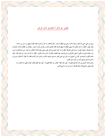# فصل: في ذكر آداهِم في حال المرض

روي عن النبي صلى الله عليه وسلم أنه قال ((حمى يوم بكفارة سنة)). وقال للأنصار لما حموا ((أبشروا فإنما كفارة وطهور)) (سنن ابن ماجة) وقال بعض الحكماء: إن في العلل مالا ينبغي للعاقل أن يجهل قدرها فإنما تمحيص للذنب وتعرض لثواب الصبر، وإيقاظ من الغفلة وأذكار النعمة في حال الصحة، وتجديد للتوبة، وحث على الصدقة حكي أن ذا النون المصري دخل على مريض يعوده فأن أنة فقال ذو النون: ليس بصادق في حبـــه من لم يتلذذ بضربة وحكى أن بعض العارفين مرض فوصف علته للطبيب فقال له: أليس هذا شكوى ؟ فقال: لا إنما هو إخبار عن قدرة قادر وقال خادم لكليب السنجاري: قال لي الشيخ يوما: هل تري على ظاهر جسدي موضعا خاليا من الدود غير اللسان فقلت لا فقال كـــذلك لـــيس في داخل جسدي موضع خال من الدود غير القلب.

واعتل ممشاد الدينوري رحمه الله تعالى فقيل له: كيف تجد العلة ؟ فقال سوء العلة فقيل له: كيف تجد قلبك فقال: فقدت قلبي منذ ثلاثين سنة. وقال بعض المشايخ لآن أعافي فأشكر أحب إلى من أن أبتلي فأصبر .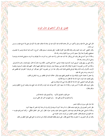## فصل: في ذكر آداهِم في حال الموت

قال النبي صلى الله عليه وسلم ((أكثروا من ذكر هادم اللذات فما ذكره عبد في سعة إلا ضاقت عليه ولا ذكره في ضيق إلا اتسع عليه)) (ســـنن ابن ماجه).

وقال الحليلي: كنت عند الجنيد وقت وفاته فكان يقرأ القراَن فقلت: أرفق بنفسك يا سيدي فقال: أحوج ما كنت إليه الساعة وهـــو إذا تطـــوي صحيفتي وتختم ثم ابتدأ وقرأ سبعين آية من سورة البقرة ومات رحمه الله.

وحكا أن خيراً النساج نظر وقت النزع وقال: إنما أنت عبد مأمور وأنا عبد مأمور وما أمرت به لا يفوتك وما أمرت به يفوتني فدعا بماء وتوضـــأ وصلى ثم كبر ومات رحمه الله.

وكان على بن سهل يقول: أترونني أموت كما يموت هؤلاء المرضى ؟ إنما أدعى فأجيب. فكان يوما جالساً إذا قال: لبيك فمات رحمسه الله تعسالي. وحكا عن أحمد بن خضرويه لما حضرته الوفاة وكان عليه دين سبعمائة دينار وغرماؤه حوله فنظر إليهم ثم قال: اللهم إنك جعلت السديون وثيقـــة لأرباب الأموال وأنت تأخذ وثيقة غرمائي فإذعني فدق الباب وقال: هذا دار ابن خضرويه ؟ قيل: نعم قال: أين غرماؤه ؟ فخرجوا إليه فقضى لهم ثم خرجت روحه رضي الله عليه.

> ولما حضر أبا عثمان الحيري الوفاة مزق ابنه القميص ففتح عينيه وقال: خلاف السنة في الطاهر من رياء الباطن في القلب. وقيل للجنيد عند الموت: قل لا إله إلا الله فقال ما نسيته فأذكره.

وقيل لأبي محمد الديلمي: قل لا إله إلا الله فقال هذا شيء قد عرفناه وبه نفني. وقيل: لرويم ذلك. فقال لا أحسن غيره. وحكا أن أبا سعيد الخراز كان يتواجد عند الموت وكان قد مات جميع بدنه وبلغت الروح الحلقوم وهـــو يزعق ويقول:

> حنين قلوب العارفين لذكره وتذكارهم وقت المناجاة للسر وأجسادهم في الأرض قتلي بحبه ﴿ وأرواحهم في الحب نحو العلي تسرى

هذا يدل على سروره وسكون ضمير . نظر الحسن البصري إلى رجل يجود بنفسه فقال: إن أمر هذا آخره أن يزهد في أوله وإن أمر هذا أوله لجدير أن ينهاه آخره. وحكا أن الشبلي اعتل بعلة فأرجف بموته فبادر المشايخ ودخلوا عليه وجلسوا حوله. فقال: أيش الخبر ؟ فقال المالكي – وكان أجـــرأهم عليـــه – جاء القوم إلى جنازتك فقال: العجب العجب من أموات جاءوا لجنازة حي.

وقال أبو بكر الدينوري: لما حضرت وفاة الشبلي فقال: على درهم مظلمة فتصدقت بألوف عن صاحبه وما على قلبي شغل أعظم من ذلك.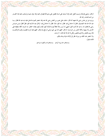ثم قال: وضئني فوضأته ونسيت تخليل لحيته وقد أمسك على لسانه فقبض على يدي فأدخلها في لحيته وقد عرق جبينه ولم يذهب عليه هذا القــــدر من السنة فمات رحمه الله. وروى عن ابن عباس رضى الله عنهما أنه قال: دخلت على عمرو بن العاص رضى الله عنه وقد احتضر للموت فدخل عليه ابنه عبد الله فقال: يـــا عبد الله خذ هذا الصندوق. فقال لا حاجة لي فيه. فقال: إنه مملوء مالا. فقال: لا حاجة لي فيه. ثم قال عبد الله ليته مملوء فقراً فقال ابـــن عبــــاس رضي الله فقلت له: يا عبد الله:كنت أقول أشتهي أن أرى رجلاً عاقلاً يموت فأسأله كيف تجده وكيف يجدك ؟ فقال: إن السماء كأنما منطبقة على الأرض وأنا بينهما وكأنما أتنفس من خرم إبرة. ثم قال: اللهم خذ مني حتى ترضى ثم رفع يده وقال: اللهم إنك أمرت فعصيت وفميت فارتكبــت فلا برىء فأعتذر ولا قوى فأنتصر ولكن لا إله إلا الله ثلاث — ثم مات. ولما احتضر عبد الملك بن مروان نظر إلى أولاده حوله وبناته يبكين.

ومستخبر عنا يريد الردى ومستخبرات والعيون سواجم

فأنشد يقول: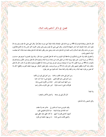#### فصل: في ذكر آدابهم وقت البلاء

قال الله تعالى ((وفتناك فتونا))(آية 40 من سورة طه) قيل: طبخناك بالبلاء طبخاً حتى صرت صافياً نقياً. وقال النبى صلى الله عليه وسلم ((إن الله تعالى ادخر البلاء لأوليائه كما ادخر الشهادة لأحبائه<sub>))</sub>. وقال النبي صلى الله عليه وسلم <sub>((</sub>نحن معاشر الأنبياء أكثر الناس بلاء ثم الأمثل فالأمثل)) (سنن ابن ماجه) وقال عليه السلام ((أحب العباد إلى الله تعالى شاب عابد ومبتلى صابر وفقير ناشط فإن الله تعالى يتعاهد عبده بالبلاء كما يتعاهــــد الوالد الشفيق ولده)).

وآداهم في ذلك ترك الجزع والشكوى في ملاحظة ثمرة البلوى وما أعد الله تعالى للصابرين حيث قال: ((إنما يوفى الصابرون أجرهم بغير حساب)) (آية 10 من سورة الزمر). فمن شهد برؤيته البلاء من المبتلي غاب عن وجدان مرارة البلاء وصعوبته قال الله تعالى ((واصبر لحكم ربسك فإنسك بأعيننا)) (آية 48 من سورة الطور) ألا ترى أن صويحبات يوسف غبن في رؤيته عن وجدان ألم القطع ولم يشعرن بذلك إلى أن غاب. قال الله تعالى ((فلما رأيته أكبرنه وقطعن أيديهن وقلن حاش لله)) (آية 31 من سورة يوسف). وقيل لبعض الشطار: متى يهون عليك الضرب والقطع ؟ قال إذا كنا نعاين من لهواه. فيعد البلاء رجاء والجفاء وفاء والمحنة منحة. أنشد مجنون بني عامر يقول:

> ومن أجل ليلي عذب القلب والحشا \_ ومن أجل ليلي قربوا لي مكانيا ومن أجل ليلي رجل القوم للمني لبنصح دمي يا حبذا أنت جانيا ومن أجلها سميت مجنون عامرٍ فداها من المكروه نفسي وماليا فلولاك يا ليلي لما جئت طارقا أدور على الأبواب بالذل راضيا

> > وله أيضاً:

أذل لآل ليلي في رضاها ﴿ وَأَحْتَمَلَ الْأَكَابَرِ وَالصَّغَارِ ا

ولأبي الشبص رحمه الله تعالى:

وقف الهوى بي حيث أنت فليس لي متأخر عنه ولا متقدم أجد الملامة في هواك لذيذة حجبا لذكرك فليلمني اللوم أشبهت أعدائي فصرت أحبهم لإذ كان حظي منك حظي منهم وأهنتني فأهنت نفسي عامدا ما من يهون عليك ممن يكرم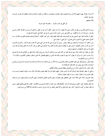ذل الفتى في الحب مكرمة \_ وخضوعه لحبيبه شرف

وروى أنه قيل للحسن بن على أبي طالب رضي الله عنهما: إن أبا ذر يقول: الفقر أحب إلى من الغني ,والسقم أحب إلى من الصحة. فقال رضـــي الله عنه: رحم الله أبا ذر أما انأ فأقول: من اتكل على حسن اختيار الله له لم يتمن أنه في غير الحالة التي اختارها الله تعالى له. حكي أن جماعة دخلوا على الشبلي وهو في البيمارستان مقيد فنظر إليهم وقال: أيش أنتم ؟ فقالوا: أحباؤك فرماهم بالحجارة فهربسوا فقسال: يسا كذابين تدعون محبتي ولا تصبرون على مضرتي — أي أذيتي — ابعدوا عني.

ومن آدابمم: أن لا يتماوت ولا يعجز بل يتجلد ويصبر. وروى أبو هريرة رضي الله عنه عن النبي صلى الله عليه وسلم أنه قال: ((المسؤمن القسـوى أحب إلى الله من المؤمن الضعيف احرص على ما ينفعك واستعن بالله ولا تعجز وإن أصابك شيء فقل من قدر الله وما شاء فعل وإياك ولو فإن لـــو تفتح بابا من عمل الشيطان)) (صحيح مسلم).

وقال ابن عطاء: في أوقات البلاء يتبين صدق العبد من كذبه فمن صبر في أوقات الرخاء وجزع في أوقات البلاء فهو من الكاذبين قسال الله تعسالي ((آلم أحسب الناس أن يتركوا أن يقولوا آمنا وهم لا يفتنون ولقد فتنا الذين من قبلهم فليعلمن الله الذين صدقوا وليعلمن الكاذبين)) (الآيات 1– 2–3 من سورة العنكبوت).

وقوله تعالى: ((ولنبلونكم حتى نعلم المجاهدين منكم والصابرين)) (آية 31 من سورة محمد) ثم إن البلاء في الإنسسان بمنزلسة السدباغ يسستخرج الرعونات (الأوساخ) ويصير إلى حالة يمكن الاستفادة منه.

وقال الجنيد رحمه الله تعالى: البلاء سراج العارفين ويقظة المريدين وهلاك الغافلين.

وحكي أن جعفر الصادق عليه السلام كان إذا أصيب يقول: اللهم اجعله أدبا ولا تجعله غضبا وذلك لآن البلاء منه ما يكون تمحيصا ومنــــه مــــا يكون تأديبا ومنه ما يكون اختبارا، ومنه ما يكون عقوبة وخذلانا.

وقال الجريري: البلاء على ثلاثة أوجه: على المخلطين نقم وعقوبات وعلى المذنبين تمحيص للجنايات وعلى الأنبيــاء والصـــديقين مـــن صـــدق الاختبارات.

ولا يمكن الوقوف على آدابمم وسيرهم فيه إلا بذكر حكاياقم فقد سئل الجنيد ما فائدة المريدين في الحكايات ؟ فقال: إنما تقوي قلوبمم فقيل: هـــل في ذلك حجة من كتاب الله تعالى ؟ قال: نعم. قوله تعالى (وكلا نقص عليك من أنباء الرسل ما نثبت به فؤادك)(آية 120 من سورة هود).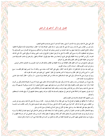## فصل: في ذكر آداھم في الرخص

قال النبي صلى الله عليه وسلم ((إن الله يحب أن تؤتى رخصة كما يحب أن تؤتى عزائمه))(الجامع الصغير)

سأل عمر بن خطاب رضي الله عنه رسول الله صلى الله عليه وسلم: ما بالنا نقصر الصلاة وقد أمنا ؟ فقال: صدقة تصدق الله بما عليكم ألا فاقبلوا صدقته (الجامع الصغير) والرخصة منهل يرد عليه المبتدئ من المريدين ويتحير فيه المتوسط من السالكين ويستريح إليه الفسائز مسن العسارفين ولا يستوطن فيه المتحققون لأنه واد متسع كثير الآفات إلا على نية الرحيل اضطرارا فالمرتع في جانب الحمي يوشك أن يواقع الحمي، لأن حمي الله تقاء محارمه، وكل من أنحط عن درجة الحقيقة وقع على طريق الرخصة ومن سقط منها وقع في ا لضلالة والجهل. والترخص في مذهب الصـــوفية هـــو الرجوع عن حقيقة العلم إلى ظاهر العلم وذلك نقص في أحوالهم.

سئل بعض المشايخ عن سوء أدب الفقير فقال انحطاطه عن درجة الحقيقة إلى الظاهر ولذلك قال ذو النون المصري رياء العارفين إخلاص المريدين. وسئل عن ذنوب المقربين فقال: حسنات الأبرار سيئات المقربين.

رئي الجنيد بعد موته في المنام فقيل له: ما فعل الله بك ؟ فقال: وبخني على كلمة كانت سبقت مني، وذلك أن سنة احتبس فيها المطر فقلـــت: مـــع الناس: ما أحوج الناس إلى المطر، فقال وما يدريك أن الناس يحتاجون إلى المطر ؟ تعلمني ؟ إني عليم خبير اذهب قد غفرت لك.

روي أبو هريرة رضي الله عنه قال ((أتي النبي عليه السلام فقيل مات فلان من أهل الصفة وترك دينارين — أو درهمين — فقال كيتان صلوا علــــى صاحبكم))(مسند الإمام احمد).

وقد صح أن من الصحابة من مات وخلف مالا جما لم ينكر عليه وإنما أنكرها هنا لأنه خالف معنى دعواه ألا تري أن الصلاة طاعة ولكن من كسان محدثا أو قرأ جنبا استحق المقت والعقوبة وقوله عليه السلام ((من تسبه بقوم فهو منهم) (الجامع الصغير) أراد التشبه بسيرقم لا بلبسهم لأنه روي عنه صلى الله عليه وسلم أنه قال ((من لهيأ للناس بقوله ولباسه وخالف ذلك أعماله فعليه لعنه الله والملائكة والناس أجميع)).

ثم إن لهم في رخصهم أدبا وأخلاقا يحتاج المترخص إلى معرفتها والتمسك بما ليكون مترسما برسمهم ومتحليا بحليتهم إلى أن يبلغ مقامات المستحققين وأحوالهم.

#### ومن رخصهم اتخاذ الصنعة والاستناد إلى العلوم وأدبمم.

في ذلك أن لا يمتلكها بل يجعلها في المصالح ولا يزيد على نفقة سنة له ولعياله ولمن يمونه، ، اقتداء برسول الله صلى الله عليه وسلم روي عن عمــــر بن الخطاب رضي الله عنه أنه قال: كان أموال بني النضير مما أفاء الله على رسوله مما لم يوجف عليه المسلمون بخيل ولا ركاب، فكانت لــــه خاصــــة وكان ينفق منها على أهله نفقة سنة، وما بقي جعله في الكراع وخيل السلاح والعدة في سبيل الله عز وجل.

ومنها الاشتغال بالكسب لصاحب العيال أو الوالدين، وأدبمم في ذلك أن لا يشغله ذلك عن فرائض الله تعالى التي أوجبها عليه في أوقاها ولا يسراه سببا في الرزق بل هو معاونه للمسلمين ولا يشتغل بذلك أكثر أوقاته بل يجتهد أن يجعل أوقات كسبه من وقت الضحى إلى أخر صــــلاة الظهــــر ثم يرجع ما بين صحبه فيصلي معهم الخمس إلى الضحوة المقبلة من الغد وإن فضل من كسبه عن نفقة عياله شيء أثر به إخوانه وأهل صحبته.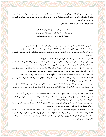ومنها السؤال وأدهم في ذلك أن لا يسأل إلا وقت الحاجة قدر الكفاية لمن يمونه ولا يبذل وجهة لمن يهون عليه رده: قال النبي صــــلي الله عليــــه وسلم ((أذا سألت فاسأل الصالحين)) (سنن النسائي) ويتلطف في سؤاله من غير تواضع فقد روي أن النبي صلى الله عليه وسلم قـــال ((لعــــن الله فقيرا يتواضع لغني لآجل ماله)).

ويروي عن جعفر الصادق رضي الله عنه قال في ذلك المعني:

فإن ذلك وهن منك في الدين لا تخضعن لمخلوق على طمع استغني الملوك بدنياهم عن الدين واستغن بالله عن دنيا الملوك كما فإن ذلك بين الكاف والنون واسترزق الله مما في خزائنه

وما يحصل من سؤاله لا يدعه في ملكه بل يسلمه عياله لفرغ قلبه عن شغلهم ولا ينفقه بالسرف ولا يجعل ذلك عادة ومعلوما له. ومنها الاستدانة على الله عز وجل وأدهم فيها أن يكون ذلك لمصالح الأخوان وعند الضرورة ولا يغفل عن الاهتمام بالتوجه والأداء. روي عن النبي صلى الله عليه وسلم أنه قال ((من أدان دينا وهو ينوي أداءه وقضاءه، ومات ولم يترك وفاء قضي الله تعالى لغريمه يـــوم القيامـــة)) (الجامع الصغير).

ومنها حمل الزاد في الأسفار وأدهم في ذلك أن لا يبخل به على من هو في صحبته ممن يحتاج إليه. روي أن النبي صلى الله عليه وسلم كان في سفر فأمر أن ينادي: ألا من كان معه فضل زاد فليعد به على من لا زاد له، ألا من كان له فضل ظهـــر فليعد به على من لا ظهر له فذكر من الأصناف ما ذكر حتى ظننا أنه ليس لنا في فضل الذي في أيدينا حق (صحيح مسلم).

ومنها الحج عن الغير بالأجرة وأدبمم في ذلك أن لا يفعل ذلك إلا عند الضرورة ثم يجعل نفقته في ذهابه وقفوله من ذلك لا من الســؤال ولا مـــن الأوقاف قال النبي صلى الله عليه وسلم ((من حج عن ميت كتب للميت حجة وللحاج براءة من النار)) (كنز العمال).

ومنها الأسفار للدوران في البلدان وأدهم فيها أن يجعل قصده فيها زيارة أخ في الله أو استحلال أو طلب علم ثم يحصل في سفره غرضه. ومنها القيام والحركة في السماع وأدبمم في ذلك مراعاة الوقت وترك المداخلة والمزاحمة مادام الوقت جدا وإذا كان طيبة يجوز ذلك علسي ســـبيل المساعدة والمطايبة من غير تساكر ولا إظهار حال.

ومنها المزاح وأدهم في ذلك مجانبة الكذب والغيبة والمحاكاة والسخف وما يذهب بالمروءة قال النبي صلى الله عليه وسلم ((إن الله تعالى لا يؤاخـــذ بالمزاح الصادق في مزاحه)) وعن على كرم ا لله وجهه أنه قال: كان رسول الله صلى الله عليه وسلم يسر الرجل من أصــحابه إذا رآه مغمومـــا بالمداعبة.

ويكره الإكثار منه خاصة لذوي الهيئات فقد قيل لا تمازح الشريف فيحقد عليك ولا الدنيء فيجترئ عليك وكان النبي صلى الله عليسه وسسلم لا يلتفت إلى أصحابه مخافة أن يراهم يمزحون فيتشورون (سنن ابن ماجة) وكان ببعض أصحابه رمد وكان يأكل التمر فقال له النبي صـــلمي الله عليـــه وسلم ((أتأكل التمر وبك رمد ؟ فقال يا رسول الله إنما أكل بالجانب السليم فضحك النبي صلى الله عليه وسلم))

ومنها إظهار العلوم التي ينبغي استعمالها وأدبمم في ذلك طلب الإفادة والنصح والإرشاد قال عليه السلام (زنضر الله امرءا سمـــع مقـــالتي فوعاهــــا فأداها كما سمعها فرب رجل حامل فقه غير فقيه ورب حامل فقه إلى من هو أفقه منه)).

ومنها لبس المرقعات المعمولة، ,أدبمم فيها مجانبة الشهرة منها فلا يضيع أكثر أوقاته بالاشتغال فيها وتلفيق بعضها إلى بعض والتجاوز في تزيينها فإن ذلك يحصل تفويت الوقت بلا فائدة دينية ولا دنيوية وكان بعض المشايخ إذا رأوا الفقير تجاوز في تزيين مرقعته ولباسه ازدروه حتى قال بعضهم: لما فقدوا الفائدة من بواطنهم اشتغلوا بالظواهر وتزيينها. ورأى النبي عليه السلام على بعض الوفود ثيابا رثة فقال " ألك مال؟ قال: نعم قـــال: فلـــير عليك قال: فيستحب في ذلك التوسط.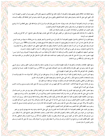ومنها المعانقة عند الملاقاة وتقبيل بعضهم بعضا وأدبمم فيه أن يكون ذلك مع أشكالهم وجنسهم وأهل الأنس منهم روي أبو الهيثم بن التيهـــان أنـــه قال: لقيني النبي صلى الله عليه وسلم في بعض طرق المدينة فاعتنقني وقبلني وسئل النبي صلى الله عليه وسلم عن أصل المعانقة قال ((فإنمــــا إثبــــات المو دة)).

ومنها حب الرياسة وأدهم فيه أن يعرف قدر نفسه ويعرف حده ولا يتمني فوق قدره ولا ينزل إلا في منزلته فقد قيل: ينبغي للعاقــــل أن لا يرفـــع نفسه فوق قدره ولا يضعها عن درجته وقيل ارتفاع الجاهل فضيحة كارتفاع المصلوب.

وقيل الخمول خير للجاهل من النباهة لان الخمول ستر لمعايبه والنباهة نشر لمثالبه.

ولا يطلب ما لا يناله فإن ذلك يضيع ما في يده وقيل: من اقتصر على قدره كان أبقي لجمال وجهة وقال بعض المشايخ: آخر آفة تخرج من قلوب الصديقين حب الرياسة

ومنها التقرب إلى السلاطين والدخول عليهم وأدبمم فيه أن لا يكون إلى مدح المادحين ولا يغتر بقولهم، وإن مدح بخلاف ما يعرفه من نفسه أعرض عنه، قال الله تعالى ذاما لمن أحب أن يحمد بما لم يفعل(ويحبون أن يحمدوا بما لم يفعلوا فلا تحسبهم بمفازة من العذاب)(آيسة 188 مسن ســـورة آل عمران) وفيه دليل على أنه من أحب أن يحمد بما يفعل لم يأثم غير أنه مخوف وليقل عند ذلك اللهم اجعلني خيرا مما يظنون واغفر لي مالا يعلمــــون ولا تؤاخذني بما يقولون، يروي عن علي بن أبي طالب كرم الله وجهة أنه سمع مدح مادح فقال: أنا دون ما أظهرت وفوق ما ضمرت.

منها تعيير السفهاء بأسلافهم في حال الضجر والأدب في يذلك أن لا يكون إلا في مقابلة سوء أدب ويكون تعريضا لا تصريحا روي أن نفرا مـــن ا ليهود حضروا عند رسول الله صلى الله عليه وسلم وآذوه ونقصوا دينه فاشتد عليه ذلك، فأنزل الله تعالى (قل هل أنبئكم بشر من ذلك مثوبة عند الله من لعنه الله)) (آية 60 من سورة المائدة).

ومنها إظهار الطاعات والعبادات وأدبمم فيه أن يكون إظهارها ليتأدب به مريد أو يقتدي به مقتد ولا يلتفت إلى قبول الخلق وردهم، ســـئل الـــنبي صلى الله عليه وسلم عن الجهر بالقراءة والإخفاء فقال (إن تبدوا الصدقات فنعما هي) (آية 271 من سورة البقرة) ة: فقلت: هـــذا في النوافـــل والفضائل. فأما الفرائض فلا خلاف بين أهل العلم أن إظهارها أولي.

ومنها التبرز للسرور والنزهة وأدبمم في ذلك أن يرتاد خلوه في كهف أو واد أو موضع يخلو عن أنواع المنكر، كيلا يتولد منه ما لا يقوم بإزالتـــه ثم يتشبه بأصحابها إن أقام في مواضع المنكر، وكان النبي صلى الله عليه وسلم يعجبه النظر إلى الخضرة والماء الجاري.

ومنها النظر إلى الملاهي وأدهم في ذلك مجانبة المحرمات والمنكرات منها فما حرم فعله حرم النظر إليه.

روي عن عائشة رضي الله عنها ألها قالت: الحبشة تلعب وأنا أنظر إليهم من باب حجرة لي ورسول الله صلى عليه وسلم يســـترني بردائــــه، فلــــم ينصرف حتى كنت أنا التي انصرفت.

ومنها حضور المجالس التي يجري فيها الخوض في ترهات الكلام وأدبمم في ذلك اجتناب سماع الغيبة والمناكير منها روي عن جابر بن سمـــره قـــال جالست النبي صلى الله عليه وسلم أكثر من مائه مرة وكان أصحابه يتناشدون الشعر ويتذاكرون من أمر الجاهلية وهو ساكت وربما تبسم معهم. ومنها تناول الأطعمة الطيبة وأدهم في ذلك أن لا يجعل ذلك عادة بل يكون ذلك بين فاقة سابقة ورياضة لاحقة ليسلم له ذلك. وروي أنسه كسان يعجبه الطيب والحلوى (الجامع الصغير) وروي أبو هريرة رضى الله عنه أن النبي صلى الله عليه وسلم قال ((إذا عرض علـــى أحـــدكم الطيـــب والحلوى فلا يردهما حتى يمس منهما)) وقال صلى الله عليه وسلم ((الهسوا اللحم لهسا فإنه أهنأ وامرأ)) (سنن الترمذي) وقـــال صــــلى الله عليــــه وسلم ((سيد الطعام لآهل الجنة اللحم وسيد طعام أهل الدنيا اللحم)) (الجامع الصغير).

ومنها رهن الثياب على الطعام وأدبمم فيه أن لا يكون ذلك إلا عند الضرورة رهن النبي صلى الله عليه وسلم درعه عند يهودي بأوسق من شعير ـ ومنها الهرب من الهوان ومن تحمل الأذى والجفاء وأدبمم في ذلك طلب سلامة الصدر واجتناب المعاداة قال بعض المشايخ الفرار مما لا يطاق مـــن سنن المرسلين قال الله تعالى حاكيا عن كليمه موسي عليه السلام ((ففررت منكم لما خفتكم) (آية 21 من سورة الشعراء) وقال الشافعي رحمه الله تعالي: اظلم الظالمين لنفسه من تواضع لمن لا يكرمه ورغب في مودة من لا ينفعه وقبل مدح من لا يعرفه وقال رسول الله صلى الله عليــــه وســــلم ((ليس للمؤمن أن يذل نفسه)).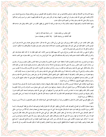ومنها الانبساط إلى الأصدقاء في قصد منازلهم والإلمام بمم من غير استدعاء وأدبمم في ذلك تخصيص من يفرح بذلك ويعرف موضـــع ذلـــك مـــن الإكرام قصد النبي صلى الله عليه وسلم دار أبي الهيثم بن التيهان ومعه أبو بكر وعمر رضي الله عنه فقدم إليهم ما حضر من لـــبن وتمـــر فـــأكلوا وشربوا وقال صلى الله عليه وسلم ((هذا من النعيم الذي تسألون عنه)).

ومنها المعاتبة للإخوان وأدهم فيها أن يقصد بذلك إزالة ما وجد عليه من قبله لا التشفي بل تطهير القلب من ا لغل والحقد ويقبل عذر صاحبه فقد قيل:

> اقبل معاذير من يأتيك معتذرا لإن بر عندك فيما قال أو فجرا فقد أطاعك من يرضيك ظاهرة وقد أجلك من يعصيك مستترا

وقيل: ظاهر العتاب خير من مكنون الحقد وروي قنبر مولي على بن أبي طالب رضي الله عنه قال: دخلت مع على عثمان رضي الله عنه وهو أمــــير المؤمنين فأحب الخلوة فأومأ إلى على كرم الله وجهة بالتنحي فتنحيت ناحية فأخذ عثمان يعاتب عليا وهو مطرق لا يتلكم فقال لم لا تتكلم ؟ قـــال: إن قلت لم أقل إلا ما تركه وليس لك عندي إلا ما تحب.

وحكي أن يحيى بن خالد عاتب عبد الملك بن صالح في شيء كان بينهما فقال في ضمن كلامه: أنك لحقود فقال له: أن كان الحقد عندك بقاء الخير والشر في القلب فلأفمما الثابتان عندي فلما تراضيا وقام عبدالملك قال يحيي: هذا أجل قريش وما رأيت أحدا زين الحقد بعبارته حتى أذهب سماجته غيره.

ومنها مدح الممدوح، وذم المذموم وأدهم في ذلك أن يحفظ حدود الحق في الجانبين ولا يتجاوزه إلى متابعة النفس والقول بالهوى وروي أن رجلـــين من سادات العرب حضرا مجلس رسول الله صلى الله عليه وسلم فمدح أحدهما صاحبه وأطراه وقصر صاحبه في تطريته فوجد عليه من ذلك فأخذ يذكر مثالبه فأنكر النبي صلى الله عليه وسلم ذلك منه فقال يا رسول، والله لتن صدقت في الأولي ما كذبت في الأخرى والإنســــان لا يخلــــو مــــن مناقب ومثالب والراضي لا يري المثالب والساخط لا يري المناقب فقال النبي صلى الله عليه وسلم ((أن من البيان لسحرا)) (مسند الإمام احمد). ومنها هجران من يستحق ذلك، وأدبمم فيه أن يقصد لإظهار الحق وتمحيق الباطل والمعاداة في الله عز وجل هجر رسول الله صلى الله عليه وســـلم كعب بن مالك وصاحبيه لتخلفهم عن غزوة تبوك وأمر أصحابه بمجراقم وترك مجالستهم ومكالمهم قال تعالى(حتى إذا ضاقت عليهم الأرض بمسا رحبت وضاقت عليهم أنفسهم) (آية 118 من سورة التوبة).

ومنها تحريق المرقعات على أصحابها المزورين والأدب في ذبك أن يقصد إبطال تمويهاته وخيانته وخديعته وتلبيسه قسال الله تعسالى ((ولا تتخســذوا أيمانكم دخلا بينكم)(آية 94 من سورة النحل) أي مكرا وخديعة، ومنزلتها منزل الشعر المزور على منتحل نسب الشرف وأنه من أولاد العلويسة فيجب إنكار ذلك وإظهار فساد ما ادعاه من النسب، لئلا يغتر بمم من لا يعرفهم أمر النبي صلى الله عليه وسلم بمدم المسجد الذي اتخذوه ضرارا وكفرا وتفريقا بين المؤمنين وإحراقه لما علم قصدهم اتخاذ ذلك وإن كان ظاهره مسجدا قال الله تعالى (لا تقم فيه أبدا لمسجد أسس على التقـــوى) رآية 108 من سورة التوبة).

وأمر بقطع نخل بني النضير فأنزل الله تعالى (ما قطعتم من لينه أو تركتموها قائمة على أصولها فبأذن الله ولخزي الفاسقين)) (آيسة 5 مسن سسـورة الحشر ).

ومنها استجازة الكذب في المصالح وأدبمم فيه طلب الإصلاح وإظهار الحق قال الله تعالى في قصة إبراهيم عليه السلام (بل فعله كبيرهم هذا) (آيسة 63 من سورة الأنبياء) وفي قصة داود عليه السلام قال تعالى(إن هذا أخي له تسع وتسعون نعجة ولي نعجة واحدة) (آية 23 من سورة ص) حكي أن جعفر الصادق رضي الله عنه ناظر مرجئا عند أبي جعفر المنصور فقال جعفر: أتي النبي صلى الله عليه وسلم بمرجيء فأمر بقتله، فقال المرجــــيء مجيبا له: وأين كان الإرجاء في عهد رسول الله صلى الله عليه وسلم فقال جعفر: فدين لم يكن في عهد رسول الله صلى الله عليه وسلم فمـــن أيـــن جئت به ؟ ثم قال: فيم استجزت الكذب على رسول الله وقد قال ((من كذب على متعمدا فليتبوأ مقعده من النار))(الجامع الصـــغير) ؟ فــــاحتج جعفر بقصة إبراهيم، وقصة داوود عليهما السلام فانقطع الجريء ومنها زيارة العجائز وأدبمم في ذلك أن يكون قصـــده التقــــرب إلى الله تعـــالى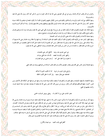والتزاور في الله وطلب البركة والدعاء روي عن أبي بكر الصديق رضي الله عنه أنه قال: قوموا بنا نزور أم أيمن كما كان رسول الله صلى الله عليه وسلم يزورها.

ومنها التكلف مع أبناء الدنيا والرؤساء والسلاطين والقيام لهم وحسن الإقبال عليهم وأدبمم في ذلك أن لا يكون طمعا في دنياهم ولا لاتخاذ جــاه عندهم: كان رسول الله صلى الله عليه وسلم تدخل عليه سادات قريش فيكرمهم ويبجلهم ويحسن مجالستهم وقـــال: ((إذا أتـــاكم كـــريم قـــوم فأكرموه)).

ومنها البكاء عند المصيبة وأدبمم في ذلك أن يكون ذلك من غير نوح ولا رفع صوت بكي النبي صلى الله عليه وسلم عند موت أبنه إبراهيم وقـــال ((العين تدمع والقلب يحزن ولا نقول ما يسخط الرب وإنا بك يا إبراهيم لمحزونون)) (صحيح مسلم) ومنها صحبة الأحداث وأدهم في ذلك ما قد مضى ذكره في باب أدب الصحبة.

ومنها إظهار البشر عند من يكرهه قلبه وأدبمم في ذلك أن يكون القصد فيه طلب السلامة لا رياء فيها ولا نفاقا روت عائشة رضي الله عنــــها أن رجلا استأذن على رسول الله صلى الله عليه وسلم وأنا عنده فقال: بئس أخو العشيرة ثم أذن له فلما دخل ألان له القول فتعجبت من ذلك فلمـــا خرج سألته عن ذلك فقال: يا عائشة إن من شر الناس من يكرمه الناس اتقاء فحشة)) وينشد الشافعي رضي الله عنه يقول:

> إني احيي عدوي عند رؤيته للأدفع الشر عني بالتحيات وأظهر البشر للإنسان أبغضه لأنه قد حشا قلبي مودات لما عفوت ولم أحقد على أحد أرحت نفسي من هم العداوات

ومنها مقارفة أوباش الناس على أقدارهم ومقدار عقولهم والأدب في ذلك طلب السلامة من غوائلهم وينشد في ذلك المعني.

وأنزلني طول النوى دار غربة أذا أنا لاقيت الذي لا أشاكله فحامقته حتى يقال سجيه ولو كان ذا عقل لكنت أعاقله

ومنها الاعتضاد بالسفهاء للملمات ودفع المضرات وأدبمم فيه أن يقصد بذلك صيانة نفسه وماء وجهه عن مواجهة غير أشكاله قال الأحنف بسن قيس: أكرموا سفهاءكم فإنهم يقونكم النار والعار، وروي ابن سيرين قال كان عمر رضي الله عنه يعجبه أن يصحبه سفيه ليرد سفه السفيه عنــــه، وأنشد بعضهم في المعنى:

تعدو الذئاب على من لا كلاب له ويتقى مريض المستأسد الحامي

ومنها ذكر من فيه عيب بما يكره وأدبمم فيه أن لا يذكروا عيوب الناس إلا ما اشتهر منها لنلا يكون هتك حرمة مستورة روت عائشة رضـــي الله عنها وعن أبيها ((ألها كانت عند النبي صلى الله عليه وسلم فدخل عيينة بن حصن من غير إذن فقال صلى الله عليه وسلم أين الاستئذان ؟ فقــــال: لم أستأذن على رجل من مضر منذ أدركت فلما خرج قلت: من هذا ؟ فقال ((أحمق مطاع)) وقال النبي صلى الله عليه وسلم ((أمر المستشـــــير في أمر المخاطبين، أما فلان فشحيح، وأما فلان فلا يضع عصاه عن عاتقه)) ومنها مواساة الشعراء وأمثالهم وأدهمم في ذلك أن يقصد صـــيانة عرضـــه عنهم وسلامة دينه منهم وإعطاء سؤلهم أو بعض مأمولهم لكيلا يتأثموا عليه قال النبي صلى الله عليه وسلم ((ما وقي الرجل به عرضه فهو صدقه)). وروي أن بعض الشعراء حضر عند رسول الله صلى الله عليه وسلم فأنشد شعرا ذكر فيه قسمة الغنائم يوم حنين وقال:

أتجعل نهبي وفمب العبيد لبين عيينة والأقرع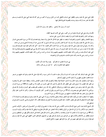أنبئت أن رسول الله أوعدنى ﴿ وَالْعَفْوِ عَنْدَ رَسُولَ اللهُ مَأْمُولَ

فكساه بردته وهي التي اشتراها معاوية من ابن كعب، وهي التي كانت تلبسها الخلفاء. ومنها فمب النثار وأدبمم فيه مجانبة الشره وأن يقصد إدخال السرور على صاحبه. ومنها الافتخار وإظهار الدعوى وأدبمم فيه أن يقصد به إظهار نعم الله قال الله تعالى (وأما بنعمة ربك فحدث)(آية 11 من سورة الضـــحي) قـــال

رسول الله صلى الله عليه وسلم ((أنا سيد ولد آدم ولا فخر وأدم ومن دونه تحت لوائي لو كان موسي حيا لما وسعه إلا أتباعي))(سنن ابن ماجه) وكان إذا رجع ألي نفسه يقول صلى الله عليه وسلم ((أنا ابن امرأة كانت تأكل القديد، إنما أنا عبد، آكل كما يأكل العبد هون عليـــك فلســـت بملك إنما أنا عبد<sub>)) (</sub>سنن ابن ماجه<sub>)</sub> وأما عند الضد فروي أن رسول الله صلى الله عليه وسلم لما أتاه وفد بني تميم بخطيبهم وشاعرهم ليفاخروه دعا النبي عليه السلام بثابت بن قيس وكان خطيبه فأجاب خطيبهم وغلبهم ودعا حسان بن ثابت بن قيس وكان خطيبه فأجاب خطيبهم وغلبهم ودعا حسان بن ثابت رضي الله عنه وكان شاعره فأجاب شاعرهم وذكر في قصيدته:

> بني دارم لا تفخروا إن فخركم پيعود وبالا عند ذكر المكارم هبلتهم علينا تفخرون وأنتم كنا خول من بين ظئر وخادم

فقال النبي عليه السلام: لقد كنت غنيا يا أخا دارم أن يذكر منك ما ظننت أن الناس نسوه، وكان قوله صلى الله عليه وسلم أشد عليهم من شـــعر حسان فقاموا مغلوبين مقهورين ثم أسلموا فأحسن إليهم وكساهم.

ومنها الحرد والضجر عند وجود المحال وما لا يحب احتماله قولا وفعلا وأدبمم في ذلك أن يجتنب الفحش والبذاء، ويحفظ حدود الحق ولا يتجاوزه إلى ظلم، فإن الغضب إذا استولى غلب على العقل، قال الله تعالى (لا يحب الله الجهر بالسوء من القول إلا من ظلم)) (آية 148 من سورة النساء) وقال صلى الله عليه وسلم ((من استجهر مؤمنا فعليه وزره))وقال الشافعي رحمه الله ((من استغضب فلم يغضب فهو حمـــار)) وقـــال الله تعـــالى ((والذين إذا أصابهم البغي هم ينتصرون) (آية 39 من سورة الشورى) وقيل في التفسير: كانوا يكرهون أن يستذلوا، وكانوا إذا قدروا عفوا وقال الله تعالى (ولمن انتصر بعد ظلمه فأولئك ما عليهم من سبيل)(آية 42 من سورة الشورى).

ويجتهد أن لا يغضب لنفسه بل يكون ذلك غيره للحق سبحانه وتعالي والإخوان روي أن النبي صلى الله عليه وسلم لم ينستقم لنفسسه قسط إلا أن تنهك محارم الله فينتقم لله تعالى قيل لبعض الحكماء: إنك تحتمل في نفسك ولا تحتمل في صديقك فقال: لآن احتمالي في نفسي حلـــم واحتمـــالي في صديقى لؤم.

قال الشيخ الإمام ضياء الدين شيخ الإسلام صاحب الكتاب رضي الله عنه وهذا ما حضرني في الوقت من آدابمـــم في الـــرخص، ذكرقمـــا علــــى الاختصار دون الإكثار وأنا أبرأ إلى الله تعالى من الزلل والغلط وأسأله التجاوز عن ذلك قال تعالى(وما توفيقي إلا بالله عليه توكلت وإليـــه أنيـــب) رآية 88 من سورة هود) ثم أن المذهب له أحوال ومقامات، وأخلاق ورخص وآداب فالرخص أدناها فمن تمسك بالكل فهو من المتحققين ومـــن تمسك بالظاهر من الأخلاق والآداب فهو من المترسمين ومن تمسك بالرخص فهو من المتشبهين الصادقين الذين ألحقهم النبي صلى الله عليه وســـلم بهم بقوله ((ومن تشبه بقوم فهو منهم ومن كثر سواد قوم فهو منهم)) (الجامع الصغير)